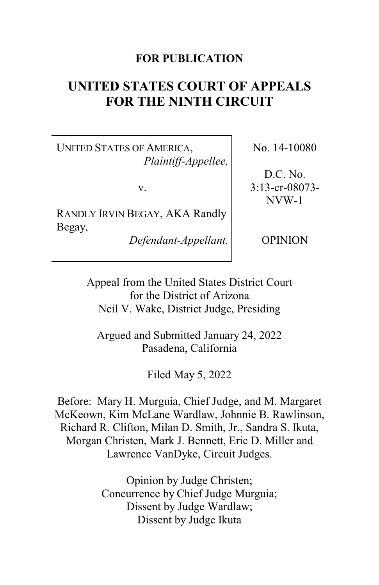## **FOR PUBLICATION**

# **UNITED STATES COURT OF APPEALS FOR THE NINTH CIRCUIT**

UNITED STATES OF AMERICA, *Plaintiff-Appellee,*

v.

RANDLY IRVIN BEGAY, AKA Randly Begay,

*Defendant-Appellant.*

No. 14-10080

D.C. No. 3:13-cr-08073- NVW-1

**OPINION** 

Appeal from the United States District Court for the District of Arizona Neil V. Wake, District Judge, Presiding

Argued and Submitted January 24, 2022 Pasadena, California

Filed May 5, 2022

Before: Mary H. Murguia, Chief Judge, and M. Margaret McKeown, Kim McLane Wardlaw, Johnnie B. Rawlinson, Richard R. Clifton, Milan D. Smith, Jr., Sandra S. Ikuta, Morgan Christen, Mark J. Bennett, Eric D. Miller and Lawrence VanDyke, Circuit Judges.

> Opinion by Judge Christen; Concurrence by Chief Judge Murguia; Dissent by Judge Wardlaw; Dissent by Judge Ikuta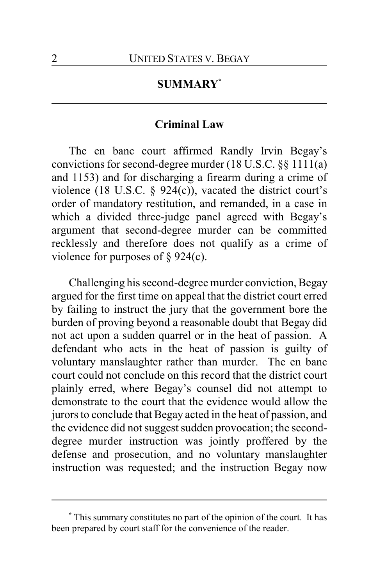## **SUMMARY\***

## **Criminal Law**

The en banc court affirmed Randly Irvin Begay's convictions for second-degree murder (18 U.S.C. §§ 1111(a) and 1153) and for discharging a firearm during a crime of violence (18 U.S.C. § 924(c)), vacated the district court's order of mandatory restitution, and remanded, in a case in which a divided three-judge panel agreed with Begay's argument that second-degree murder can be committed recklessly and therefore does not qualify as a crime of violence for purposes of  $\S 924(c)$ .

Challenging his second-degree murder conviction, Begay argued for the first time on appeal that the district court erred by failing to instruct the jury that the government bore the burden of proving beyond a reasonable doubt that Begay did not act upon a sudden quarrel or in the heat of passion. A defendant who acts in the heat of passion is guilty of voluntary manslaughter rather than murder. The en banc court could not conclude on this record that the district court plainly erred, where Begay's counsel did not attempt to demonstrate to the court that the evidence would allow the jurors to conclude that Begay acted in the heat of passion, and the evidence did not suggest sudden provocation; the seconddegree murder instruction was jointly proffered by the defense and prosecution, and no voluntary manslaughter instruction was requested; and the instruction Begay now

**<sup>\*</sup>** This summary constitutes no part of the opinion of the court. It has been prepared by court staff for the convenience of the reader.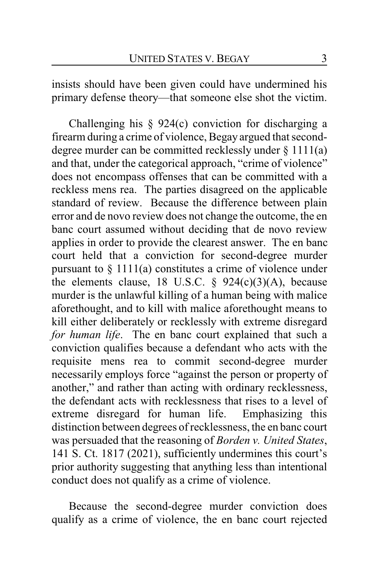insists should have been given could have undermined his primary defense theory—that someone else shot the victim.

Challenging his § 924(c) conviction for discharging a firearm during a crime of violence, Begay argued that seconddegree murder can be committed recklessly under § 1111(a) and that, under the categorical approach, "crime of violence" does not encompass offenses that can be committed with a reckless mens rea. The parties disagreed on the applicable standard of review. Because the difference between plain error and de novo review does not change the outcome, the en banc court assumed without deciding that de novo review applies in order to provide the clearest answer. The en banc court held that a conviction for second-degree murder pursuant to  $\S 1111(a)$  constitutes a crime of violence under the elements clause, 18 U.S.C.  $\S$  924(c)(3)(A), because murder is the unlawful killing of a human being with malice aforethought, and to kill with malice aforethought means to kill either deliberately or recklessly with extreme disregard *for human life*. The en banc court explained that such a conviction qualifies because a defendant who acts with the requisite mens rea to commit second-degree murder necessarily employs force "against the person or property of another," and rather than acting with ordinary recklessness, the defendant acts with recklessness that rises to a level of extreme disregard for human life. Emphasizing this distinction between degrees of recklessness, the en banc court was persuaded that the reasoning of *Borden v. United States*, 141 S. Ct. 1817 (2021), sufficiently undermines this court's prior authority suggesting that anything less than intentional conduct does not qualify as a crime of violence.

Because the second-degree murder conviction does qualify as a crime of violence, the en banc court rejected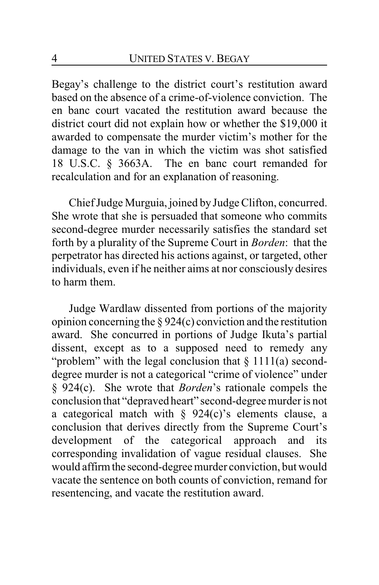Begay's challenge to the district court's restitution award based on the absence of a crime-of-violence conviction. The en banc court vacated the restitution award because the district court did not explain how or whether the \$19,000 it awarded to compensate the murder victim's mother for the damage to the van in which the victim was shot satisfied 18 U.S.C. § 3663A. The en banc court remanded for recalculation and for an explanation of reasoning.

Chief Judge Murguia, joined by Judge Clifton, concurred. She wrote that she is persuaded that someone who commits second-degree murder necessarily satisfies the standard set forth by a plurality of the Supreme Court in *Borden*: that the perpetrator has directed his actions against, or targeted, other individuals, even if he neither aims at nor consciously desires to harm them.

Judge Wardlaw dissented from portions of the majority opinion concerning the § 924(c) conviction and the restitution award. She concurred in portions of Judge Ikuta's partial dissent, except as to a supposed need to remedy any "problem" with the legal conclusion that § 1111(a) seconddegree murder is not a categorical "crime of violence" under § 924(c). She wrote that *Borden*'s rationale compels the conclusion that "depraved heart" second-degree murder is not a categorical match with  $\S$  924(c)'s elements clause, a conclusion that derives directly from the Supreme Court's development of the categorical approach and its corresponding invalidation of vague residual clauses. She would affirm the second-degree murder conviction, but would vacate the sentence on both counts of conviction, remand for resentencing, and vacate the restitution award.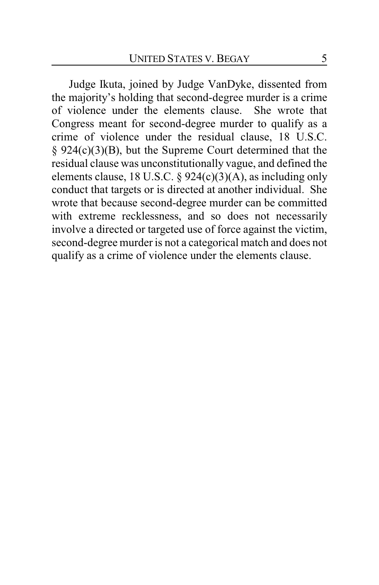Judge Ikuta, joined by Judge VanDyke, dissented from the majority's holding that second-degree murder is a crime of violence under the elements clause. She wrote that Congress meant for second-degree murder to qualify as a crime of violence under the residual clause, 18 U.S.C. § 924(c)(3)(B), but the Supreme Court determined that the residual clause was unconstitutionally vague, and defined the elements clause, 18 U.S.C.  $\S$  924(c)(3)(A), as including only conduct that targets or is directed at another individual. She wrote that because second-degree murder can be committed with extreme recklessness, and so does not necessarily involve a directed or targeted use of force against the victim, second-degree murder is not a categorical match and does not qualify as a crime of violence under the elements clause.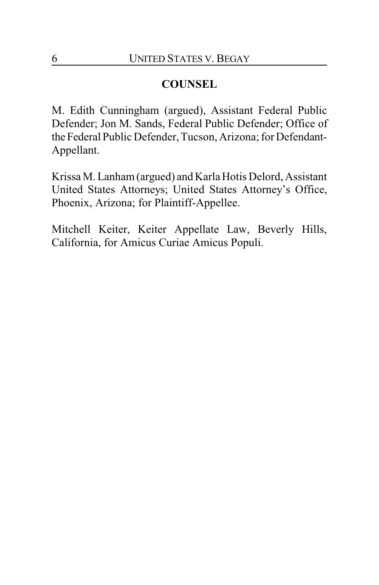## **COUNSEL**

M. Edith Cunningham (argued), Assistant Federal Public Defender; Jon M. Sands, Federal Public Defender; Office of the Federal Public Defender, Tucson, Arizona; for Defendant-Appellant.

Krissa M. Lanham(argued) and Karla Hotis Delord, Assistant United States Attorneys; United States Attorney's Office, Phoenix, Arizona; for Plaintiff-Appellee.

Mitchell Keiter, Keiter Appellate Law, Beverly Hills, California, for Amicus Curiae Amicus Populi.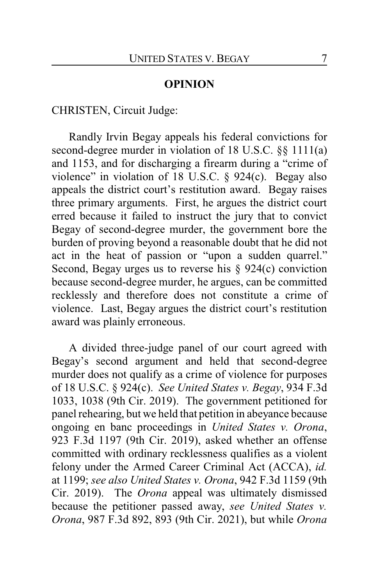## **OPINION**

CHRISTEN, Circuit Judge:

Randly Irvin Begay appeals his federal convictions for second-degree murder in violation of 18 U.S.C. §§ 1111(a) and 1153, and for discharging a firearm during a "crime of violence" in violation of 18 U.S.C. § 924(c). Begay also appeals the district court's restitution award. Begay raises three primary arguments. First, he argues the district court erred because it failed to instruct the jury that to convict Begay of second-degree murder, the government bore the burden of proving beyond a reasonable doubt that he did not act in the heat of passion or "upon a sudden quarrel." Second, Begay urges us to reverse his § 924(c) conviction because second-degree murder, he argues, can be committed recklessly and therefore does not constitute a crime of violence. Last, Begay argues the district court's restitution award was plainly erroneous.

A divided three-judge panel of our court agreed with Begay's second argument and held that second-degree murder does not qualify as a crime of violence for purposes of 18 U.S.C. § 924(c). *See United States v. Begay*, 934 F.3d 1033, 1038 (9th Cir. 2019). The government petitioned for panel rehearing, but we held that petition in abeyance because ongoing en banc proceedings in *United States v. Orona*, 923 F.3d 1197 (9th Cir. 2019), asked whether an offense committed with ordinary recklessness qualifies as a violent felony under the Armed Career Criminal Act (ACCA), *id.* at 1199; *see also United States v. Orona*, 942 F.3d 1159 (9th Cir. 2019). The *Orona* appeal was ultimately dismissed because the petitioner passed away, *see United States v. Orona*, 987 F.3d 892, 893 (9th Cir. 2021), but while *Orona*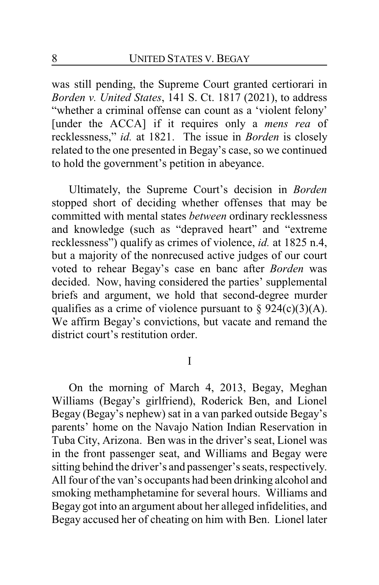was still pending, the Supreme Court granted certiorari in *Borden v. United States*, 141 S. Ct. 1817 (2021), to address "whether a criminal offense can count as a 'violent felony' [under the ACCA] if it requires only a *mens rea* of recklessness," *id.* at 1821. The issue in *Borden* is closely related to the one presented in Begay's case, so we continued to hold the government's petition in abeyance.

Ultimately, the Supreme Court's decision in *Borden* stopped short of deciding whether offenses that may be committed with mental states *between* ordinary recklessness and knowledge (such as "depraved heart" and "extreme recklessness") qualify as crimes of violence, *id.* at 1825 n.4, but a majority of the nonrecused active judges of our court voted to rehear Begay's case en banc after *Borden* was decided. Now, having considered the parties' supplemental briefs and argument, we hold that second-degree murder qualifies as a crime of violence pursuant to  $\S$  924(c)(3)(A). We affirm Begay's convictions, but vacate and remand the district court's restitution order.

I

On the morning of March 4, 2013, Begay, Meghan Williams (Begay's girlfriend), Roderick Ben, and Lionel Begay (Begay's nephew) sat in a van parked outside Begay's parents' home on the Navajo Nation Indian Reservation in Tuba City, Arizona. Ben was in the driver's seat, Lionel was in the front passenger seat, and Williams and Begay were sitting behind the driver's and passenger's seats, respectively. All four of the van's occupants had been drinking alcohol and smoking methamphetamine for several hours. Williams and Begay got into an argument about her alleged infidelities, and Begay accused her of cheating on him with Ben. Lionel later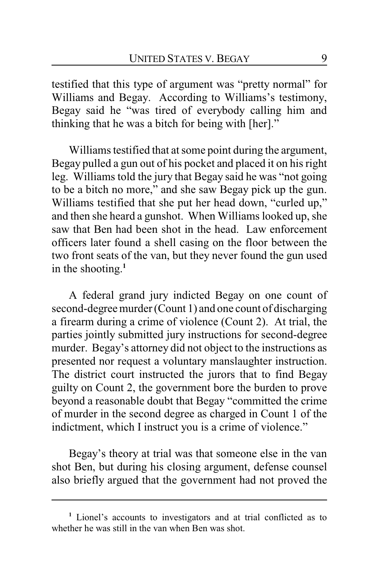testified that this type of argument was "pretty normal" for Williams and Begay. According to Williams's testimony, Begay said he "was tired of everybody calling him and thinking that he was a bitch for being with [her]."

Williams testified that at some point during the argument, Begay pulled a gun out of his pocket and placed it on his right leg. Williams told the jury that Begay said he was "not going to be a bitch no more," and she saw Begay pick up the gun. Williams testified that she put her head down, "curled up," and then she heard a gunshot. When Williams looked up, she saw that Ben had been shot in the head. Law enforcement officers later found a shell casing on the floor between the two front seats of the van, but they never found the gun used in the shooting. **1**

A federal grand jury indicted Begay on one count of second-degree murder (Count 1) and one count of discharging a firearm during a crime of violence (Count 2). At trial, the parties jointly submitted jury instructions for second-degree murder. Begay's attorney did not object to the instructions as presented nor request a voluntary manslaughter instruction. The district court instructed the jurors that to find Begay guilty on Count 2, the government bore the burden to prove beyond a reasonable doubt that Begay "committed the crime of murder in the second degree as charged in Count 1 of the indictment, which I instruct you is a crime of violence."

Begay's theory at trial was that someone else in the van shot Ben, but during his closing argument, defense counsel also briefly argued that the government had not proved the

**<sup>1</sup>** Lionel's accounts to investigators and at trial conflicted as to whether he was still in the van when Ben was shot.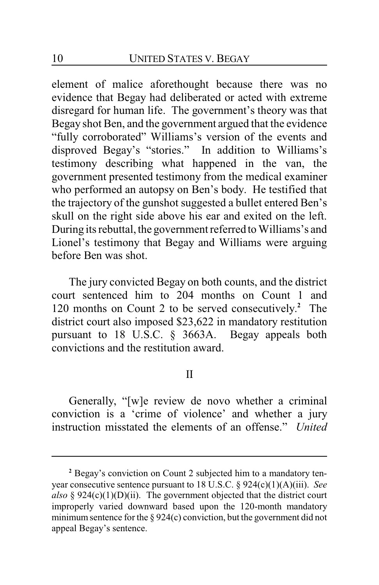element of malice aforethought because there was no evidence that Begay had deliberated or acted with extreme disregard for human life. The government's theory was that Begay shot Ben, and the government argued that the evidence "fully corroborated" Williams's version of the events and disproved Begay's "stories." In addition to Williams's testimony describing what happened in the van, the government presented testimony from the medical examiner who performed an autopsy on Ben's body. He testified that the trajectory of the gunshot suggested a bullet entered Ben's skull on the right side above his ear and exited on the left. During its rebuttal, the government referred to Williams's and Lionel's testimony that Begay and Williams were arguing before Ben was shot.

The jury convicted Begay on both counts, and the district court sentenced him to 204 months on Count 1 and 120 months on Count 2 to be served consecutively. **<sup>2</sup>** The district court also imposed \$23,622 in mandatory restitution pursuant to 18 U.S.C. § 3663A. Begay appeals both convictions and the restitution award.

## II

Generally, "[w]e review de novo whether a criminal conviction is a 'crime of violence' and whether a jury instruction misstated the elements of an offense." *United*

**<sup>2</sup>** Begay's conviction on Count 2 subjected him to a mandatory tenyear consecutive sentence pursuant to 18 U.S.C. § 924(c)(1)(A)(iii). *See also* § 924(c)(1)(D)(ii). The government objected that the district court improperly varied downward based upon the 120-month mandatory minimum sentence for the  $\S 924(c)$  conviction, but the government did not appeal Begay's sentence.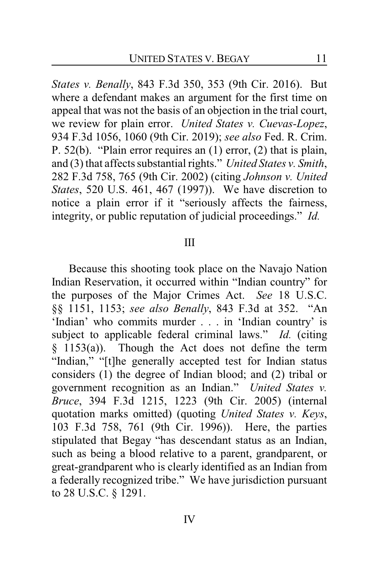*States v. Benally*, 843 F.3d 350, 353 (9th Cir. 2016). But where a defendant makes an argument for the first time on appeal that was not the basis of an objection in the trial court, we review for plain error. *United States v. Cuevas-Lopez*, 934 F.3d 1056, 1060 (9th Cir. 2019); *see also* Fed. R. Crim. P. 52(b). "Plain error requires an (1) error, (2) that is plain, and (3) that affects substantial rights." *United States v. Smith*, 282 F.3d 758, 765 (9th Cir. 2002) (citing *Johnson v. United States*, 520 U.S. 461, 467 (1997)). We have discretion to notice a plain error if it "seriously affects the fairness, integrity, or public reputation of judicial proceedings." *Id.*

#### III

Because this shooting took place on the Navajo Nation Indian Reservation, it occurred within "Indian country" for the purposes of the Major Crimes Act. *See* 18 U.S.C. §§ 1151, 1153; *see also Benally*, 843 F.3d at 352. "An 'Indian' who commits murder . . . in 'Indian country' is subject to applicable federal criminal laws." *Id.* (citing § 1153(a)). Though the Act does not define the term "Indian," "[t]he generally accepted test for Indian status considers (1) the degree of Indian blood; and (2) tribal or government recognition as an Indian." *United States v. Bruce*, 394 F.3d 1215, 1223 (9th Cir. 2005) (internal quotation marks omitted) (quoting *United States v. Keys*, 103 F.3d 758, 761 (9th Cir. 1996)). Here, the parties stipulated that Begay "has descendant status as an Indian, such as being a blood relative to a parent, grandparent, or great-grandparent who is clearly identified as an Indian from a federally recognized tribe." We have jurisdiction pursuant to 28 U.S.C. § 1291.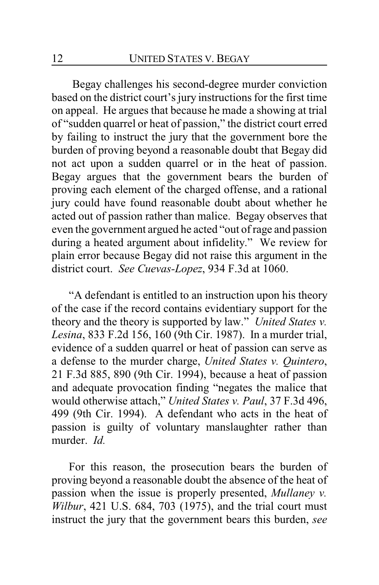Begay challenges his second-degree murder conviction based on the district court's jury instructions for the first time on appeal. He argues that because he made a showing at trial of "sudden quarrel or heat of passion," the district court erred by failing to instruct the jury that the government bore the burden of proving beyond a reasonable doubt that Begay did not act upon a sudden quarrel or in the heat of passion. Begay argues that the government bears the burden of proving each element of the charged offense, and a rational jury could have found reasonable doubt about whether he acted out of passion rather than malice. Begay observes that even the government argued he acted "out of rage and passion during a heated argument about infidelity." We review for plain error because Begay did not raise this argument in the district court. *See Cuevas-Lopez*, 934 F.3d at 1060.

"A defendant is entitled to an instruction upon his theory of the case if the record contains evidentiary support for the theory and the theory is supported by law." *United States v. Lesina*, 833 F.2d 156, 160 (9th Cir. 1987). In a murder trial, evidence of a sudden quarrel or heat of passion can serve as a defense to the murder charge, *United States v. Quintero*, 21 F.3d 885, 890 (9th Cir. 1994), because a heat of passion and adequate provocation finding "negates the malice that would otherwise attach," *United States v. Paul*, 37 F.3d 496, 499 (9th Cir. 1994). A defendant who acts in the heat of passion is guilty of voluntary manslaughter rather than murder. *Id.*

For this reason, the prosecution bears the burden of proving beyond a reasonable doubt the absence of the heat of passion when the issue is properly presented, *Mullaney v. Wilbur*, 421 U.S. 684, 703 (1975), and the trial court must instruct the jury that the government bears this burden, *see*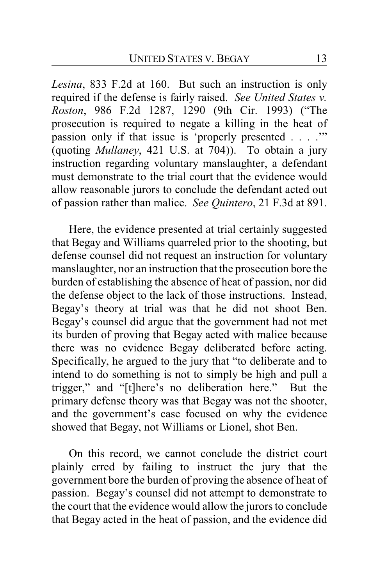*Lesina*, 833 F.2d at 160. But such an instruction is only required if the defense is fairly raised. *See United States v. Roston*, 986 F.2d 1287, 1290 (9th Cir. 1993) ("The prosecution is required to negate a killing in the heat of passion only if that issue is 'properly presented . . . .'" (quoting *Mullaney*, 421 U.S. at 704)). To obtain a jury instruction regarding voluntary manslaughter, a defendant must demonstrate to the trial court that the evidence would allow reasonable jurors to conclude the defendant acted out of passion rather than malice. *See Quintero*, 21 F.3d at 891.

Here, the evidence presented at trial certainly suggested that Begay and Williams quarreled prior to the shooting, but defense counsel did not request an instruction for voluntary manslaughter, nor an instruction that the prosecution bore the burden of establishing the absence of heat of passion, nor did the defense object to the lack of those instructions. Instead, Begay's theory at trial was that he did not shoot Ben. Begay's counsel did argue that the government had not met its burden of proving that Begay acted with malice because there was no evidence Begay deliberated before acting. Specifically, he argued to the jury that "to deliberate and to intend to do something is not to simply be high and pull a trigger," and "[t]here's no deliberation here." But the primary defense theory was that Begay was not the shooter, and the government's case focused on why the evidence showed that Begay, not Williams or Lionel, shot Ben.

On this record, we cannot conclude the district court plainly erred by failing to instruct the jury that the government bore the burden of proving the absence of heat of passion. Begay's counsel did not attempt to demonstrate to the court that the evidence would allow the jurors to conclude that Begay acted in the heat of passion, and the evidence did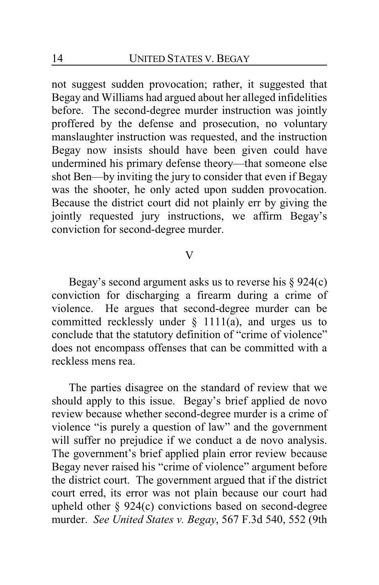not suggest sudden provocation; rather, it suggested that Begay and Williams had argued about her alleged infidelities before. The second-degree murder instruction was jointly proffered by the defense and prosecution, no voluntary manslaughter instruction was requested, and the instruction Begay now insists should have been given could have undermined his primary defense theory—that someone else shot Ben—by inviting the jury to consider that even if Begay was the shooter, he only acted upon sudden provocation. Because the district court did not plainly err by giving the jointly requested jury instructions, we affirm Begay's conviction for second-degree murder.

#### V

Begay's second argument asks us to reverse his  $\S 924(c)$ conviction for discharging a firearm during a crime of violence. He argues that second-degree murder can be committed recklessly under  $\S$  1111(a), and urges us to conclude that the statutory definition of "crime of violence" does not encompass offenses that can be committed with a reckless mens rea.

The parties disagree on the standard of review that we should apply to this issue. Begay's brief applied de novo review because whether second-degree murder is a crime of violence "is purely a question of law" and the government will suffer no prejudice if we conduct a de novo analysis. The government's brief applied plain error review because Begay never raised his "crime of violence" argument before the district court. The government argued that if the district court erred, its error was not plain because our court had upheld other § 924(c) convictions based on second-degree murder. *See United States v. Begay*, 567 F.3d 540, 552 (9th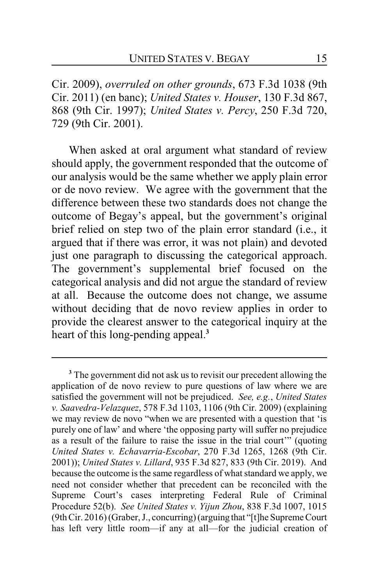Cir. 2009), *overruled on other grounds*, 673 F.3d 1038 (9th Cir. 2011) (en banc); *United States v. Houser*, 130 F.3d 867, 868 (9th Cir. 1997); *United States v. Percy*, 250 F.3d 720, 729 (9th Cir. 2001).

When asked at oral argument what standard of review should apply, the government responded that the outcome of our analysis would be the same whether we apply plain error or de novo review. We agree with the government that the difference between these two standards does not change the outcome of Begay's appeal, but the government's original brief relied on step two of the plain error standard (i.e., it argued that if there was error, it was not plain) and devoted just one paragraph to discussing the categorical approach. The government's supplemental brief focused on the categorical analysis and did not argue the standard of review at all. Because the outcome does not change, we assume without deciding that de novo review applies in order to provide the clearest answer to the categorical inquiry at the heart of this long-pending appeal.**<sup>3</sup>**

**<sup>3</sup>** The government did not ask us to revisit our precedent allowing the application of de novo review to pure questions of law where we are satisfied the government will not be prejudiced. *See, e.g.*, *United States v. Saavedra-Velazquez*, 578 F.3d 1103, 1106 (9th Cir. 2009) (explaining we may review de novo "when we are presented with a question that 'is purely one of law' and where 'the opposing party will suffer no prejudice as a result of the failure to raise the issue in the trial court'" (quoting *United States v. Echavarria-Escobar*, 270 F.3d 1265, 1268 (9th Cir. 2001)); *United States v. Lillard*, 935 F.3d 827, 833 (9th Cir. 2019). And because the outcome is the same regardless of what standard we apply, we need not consider whether that precedent can be reconciled with the Supreme Court's cases interpreting Federal Rule of Criminal Procedure 52(b). *See United States v. Yijun Zhou*, 838 F.3d 1007, 1015 (9thCir. 2016) (Graber, J., concurring) (arguing that "[t]he Supreme Court has left very little room—if any at all—for the judicial creation of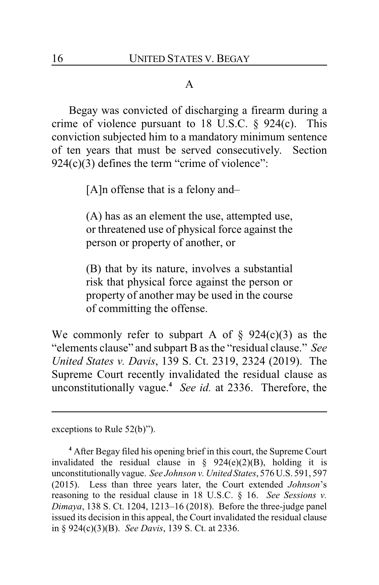## A

Begay was convicted of discharging a firearm during a crime of violence pursuant to 18 U.S.C.  $\S$  924(c). This conviction subjected him to a mandatory minimum sentence of ten years that must be served consecutively. Section  $924(c)(3)$  defines the term "crime of violence":

[A]n offense that is a felony and–

(A) has as an element the use, attempted use, or threatened use of physical force against the person or property of another, or

(B) that by its nature, involves a substantial risk that physical force against the person or property of another may be used in the course of committing the offense.

We commonly refer to subpart A of  $\S$  924(c)(3) as the "elements clause" and subpart B as the "residual clause." *See United States v. Davis*, 139 S. Ct. 2319, 2324 (2019). The Supreme Court recently invalidated the residual clause as unconstitutionally vague.**<sup>4</sup>** *See id.* at 2336. Therefore, the

exceptions to Rule 52(b)").

**<sup>4</sup>** After Begay filed his opening brief in this court, the Supreme Court invalidated the residual clause in  $\S$  924(e)(2)(B), holding it is unconstitutionally vague. *See Johnson v. United States*, 576 U.S. 591, 597 (2015). Less than three years later, the Court extended *Johnson*'s reasoning to the residual clause in 18 U.S.C. § 16. *See Sessions v. Dimaya*, 138 S. Ct. 1204, 1213–16 (2018). Before the three-judge panel issued its decision in this appeal, the Court invalidated the residual clause in § 924(c)(3)(B). *See Davis*, 139 S. Ct. at 2336.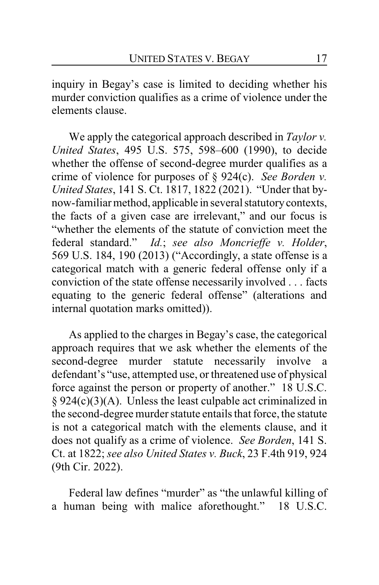inquiry in Begay's case is limited to deciding whether his murder conviction qualifies as a crime of violence under the elements clause.

We apply the categorical approach described in *Taylor v. United States*, 495 U.S. 575, 598–600 (1990), to decide whether the offense of second-degree murder qualifies as a crime of violence for purposes of § 924(c). *See Borden v. United States*, 141 S. Ct. 1817, 1822 (2021). "Under that bynow-familiar method, applicable in several statutorycontexts, the facts of a given case are irrelevant," and our focus is "whether the elements of the statute of conviction meet the federal standard." *Id.*; *see also Moncrieffe v. Holder*, 569 U.S. 184, 190 (2013) ("Accordingly, a state offense is a categorical match with a generic federal offense only if a conviction of the state offense necessarily involved . . . facts equating to the generic federal offense" (alterations and internal quotation marks omitted)).

As applied to the charges in Begay's case, the categorical approach requires that we ask whether the elements of the second-degree murder statute necessarily involve a defendant's "use, attempted use, or threatened use of physical force against the person or property of another." 18 U.S.C. § 924(c)(3)(A). Unless the least culpable act criminalized in the second-degree murder statute entails that force, the statute is not a categorical match with the elements clause, and it does not qualify as a crime of violence. *See Borden*, 141 S. Ct. at 1822; *see also United States v. Buck*, 23 F.4th 919, 924 (9th Cir. 2022).

Federal law defines "murder" as "the unlawful killing of a human being with malice aforethought." 18 U.S.C.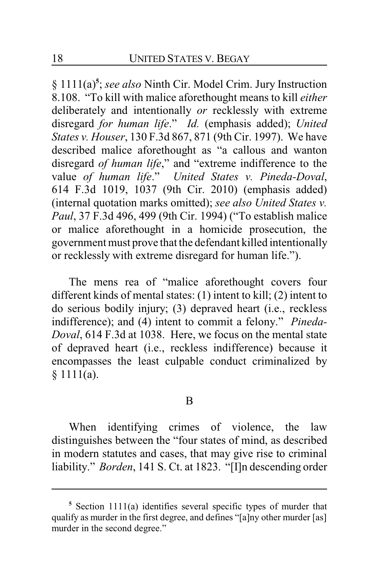§ 1111(a)**<sup>5</sup>** ; *see also* Ninth Cir. Model Crim. Jury Instruction 8.108. "To kill with malice aforethought means to kill *either* deliberately and intentionally *or* recklessly with extreme disregard *for human life*." *Id.* (emphasis added); *United States v. Houser*, 130 F.3d 867, 871 (9th Cir. 1997). We have described malice aforethought as "a callous and wanton disregard *of human life*," and "extreme indifference to the value *of human life*." *United States v. Pineda-Doval*, 614 F.3d 1019, 1037 (9th Cir. 2010) (emphasis added) (internal quotation marks omitted); *see also United States v. Paul*, 37 F.3d 496, 499 (9th Cir. 1994) ("To establish malice or malice aforethought in a homicide prosecution, the government must prove that the defendant killed intentionally or recklessly with extreme disregard for human life.").

The mens rea of "malice aforethought covers four different kinds of mental states: (1) intent to kill; (2) intent to do serious bodily injury; (3) depraved heart (i.e., reckless indifference); and (4) intent to commit a felony." *Pineda-Doval*, 614 F.3d at 1038. Here, we focus on the mental state of depraved heart (i.e., reckless indifference) because it encompasses the least culpable conduct criminalized by § 1111(a).

#### B

When identifying crimes of violence, the law distinguishes between the "four states of mind, as described in modern statutes and cases, that may give rise to criminal liability." *Borden*, 141 S. Ct. at 1823. "[I]n descending order

**<sup>5</sup>** Section 1111(a) identifies several specific types of murder that qualify as murder in the first degree, and defines "[a]ny other murder [as] murder in the second degree."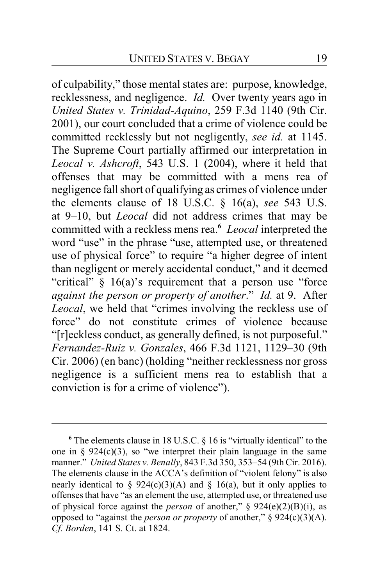of culpability," those mental states are: purpose, knowledge, recklessness, and negligence. *Id.* Over twenty years ago in *United States v. Trinidad-Aquino*, 259 F.3d 1140 (9th Cir. 2001), our court concluded that a crime of violence could be committed recklessly but not negligently, *see id.* at 1145. The Supreme Court partially affirmed our interpretation in *Leocal v. Ashcroft*, 543 U.S. 1 (2004), where it held that offenses that may be committed with a mens rea of negligence fall short of qualifying as crimes of violence under the elements clause of 18 U.S.C. § 16(a), *see* 543 U.S. at 9–10, but *Leocal* did not address crimes that may be committed with a reckless mens rea.**<sup>6</sup>** *Leocal* interpreted the word "use" in the phrase "use, attempted use, or threatened use of physical force" to require "a higher degree of intent than negligent or merely accidental conduct," and it deemed "critical" § 16(a)'s requirement that a person use "force *against the person or property of another*." *Id.* at 9. After *Leocal*, we held that "crimes involving the reckless use of force" do not constitute crimes of violence because "[r]eckless conduct, as generally defined, is not purposeful." *Fernandez-Ruiz v. Gonzales*, 466 F.3d 1121, 1129–30 (9th Cir. 2006) (en banc) (holding "neither recklessness nor gross negligence is a sufficient mens rea to establish that a conviction is for a crime of violence").

**<sup>6</sup>** The elements clause in 18 U.S.C. § 16 is "virtually identical" to the one in §  $924(c)(3)$ , so "we interpret their plain language in the same manner." *United States v. Benally*, 843 F.3d 350, 353–54 (9th Cir. 2016). The elements clause in the ACCA's definition of "violent felony" is also nearly identical to § 924(c)(3)(A) and § 16(a), but it only applies to offenses that have "as an element the use, attempted use, or threatened use of physical force against the *person* of another," § 924(e)(2)(B)(i), as opposed to "against the *person or property* of another," § 924(c)(3)(A). *Cf. Borden*, 141 S. Ct. at 1824.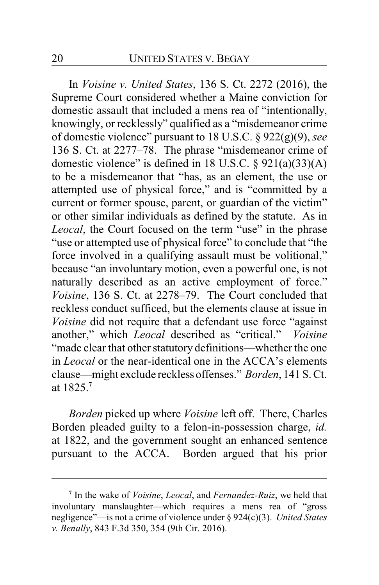In *Voisine v. United States*, 136 S. Ct. 2272 (2016), the Supreme Court considered whether a Maine conviction for domestic assault that included a mens rea of "intentionally, knowingly, or recklessly" qualified as a "misdemeanor crime of domestic violence" pursuant to 18 U.S.C. § 922(g)(9), *see* 136 S. Ct. at 2277–78. The phrase "misdemeanor crime of domestic violence" is defined in 18 U.S.C. § 921(a)(33)(A) to be a misdemeanor that "has, as an element, the use or attempted use of physical force," and is "committed by a current or former spouse, parent, or guardian of the victim" or other similar individuals as defined by the statute. As in *Leocal*, the Court focused on the term "use" in the phrase "use or attempted use of physical force" to conclude that "the force involved in a qualifying assault must be volitional," because "an involuntary motion, even a powerful one, is not naturally described as an active employment of force." *Voisine*, 136 S. Ct. at 2278–79. The Court concluded that reckless conduct sufficed, but the elements clause at issue in *Voisine* did not require that a defendant use force "against another," which *Leocal* described as "critical." *Voisine* "made clear that other statutory definitions—whether the one in *Leocal* or the near-identical one in the ACCA's elements clause—might exclude reckless offenses." *Borden*, 141 S. Ct. at 1825.**<sup>7</sup>**

*Borden* picked up where *Voisine* left off. There, Charles Borden pleaded guilty to a felon-in-possession charge, *id.* at 1822, and the government sought an enhanced sentence pursuant to the ACCA. Borden argued that his prior

**<sup>7</sup>** In the wake of *Voisine*, *Leocal*, and *Fernandez-Ruiz*, we held that involuntary manslaughter—which requires a mens rea of "gross negligence"—is not a crime of violence under § 924(c)(3). *United States v. Benally*, 843 F.3d 350, 354 (9th Cir. 2016).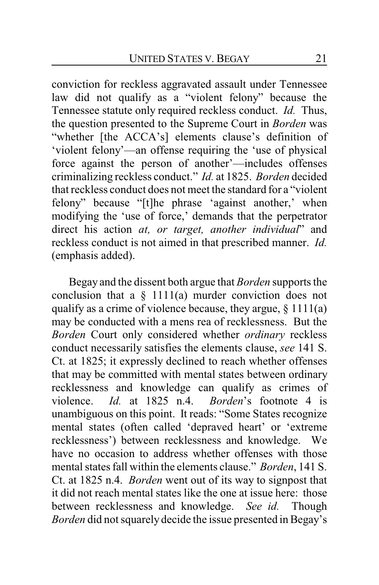conviction for reckless aggravated assault under Tennessee law did not qualify as a "violent felony" because the Tennessee statute only required reckless conduct. *Id.* Thus, the question presented to the Supreme Court in *Borden* was "whether [the ACCA's] elements clause's definition of 'violent felony'—an offense requiring the 'use of physical force against the person of another'—includes offenses criminalizing reckless conduct." *Id.* at 1825. *Borden* decided that reckless conduct does not meet the standard for a "violent felony" because "[t]he phrase 'against another,' when modifying the 'use of force,' demands that the perpetrator direct his action *at, or target, another individual*" and reckless conduct is not aimed in that prescribed manner. *Id.* (emphasis added).

Begay and the dissent both argue that *Borden* supports the conclusion that a  $\S$  1111(a) murder conviction does not qualify as a crime of violence because, they argue,  $\S 1111(a)$ may be conducted with a mens rea of recklessness. But the *Borden* Court only considered whether *ordinary* reckless conduct necessarily satisfies the elements clause, *see* 141 S. Ct. at 1825; it expressly declined to reach whether offenses that may be committed with mental states between ordinary recklessness and knowledge can qualify as crimes of violence. *Id.* at 1825 n.4. *Borden*'s footnote 4 is unambiguous on this point. It reads: "Some States recognize mental states (often called 'depraved heart' or 'extreme recklessness') between recklessness and knowledge. We have no occasion to address whether offenses with those mental states fall within the elements clause." *Borden*, 141 S. Ct. at 1825 n.4. *Borden* went out of its way to signpost that it did not reach mental states like the one at issue here: those between recklessness and knowledge. *See id.* Though *Borden* did not squarely decide the issue presented in Begay's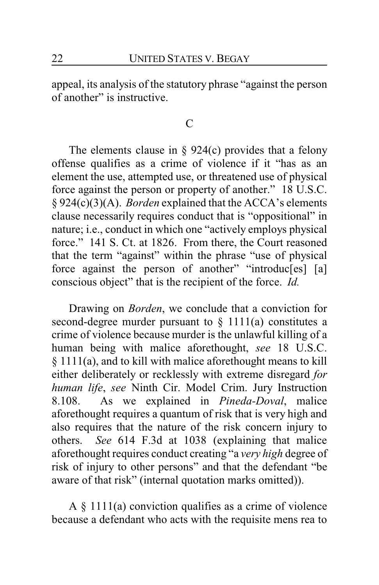appeal, its analysis of the statutory phrase "against the person of another" is instructive.

### C

The elements clause in  $\S$  924(c) provides that a felony offense qualifies as a crime of violence if it "has as an element the use, attempted use, or threatened use of physical force against the person or property of another." 18 U.S.C. § 924(c)(3)(A). *Borden* explained that the ACCA's elements clause necessarily requires conduct that is "oppositional" in nature; i.e., conduct in which one "actively employs physical force." 141 S. Ct. at 1826. From there, the Court reasoned that the term "against" within the phrase "use of physical force against the person of another" "introduc[es] [a] conscious object" that is the recipient of the force. *Id.*

Drawing on *Borden*, we conclude that a conviction for second-degree murder pursuant to  $\S$  1111(a) constitutes a crime of violence because murder is the unlawful killing of a human being with malice aforethought, *see* 18 U.S.C. § 1111(a), and to kill with malice aforethought means to kill either deliberately or recklessly with extreme disregard *for human life*, *see* Ninth Cir. Model Crim. Jury Instruction 8.108. As we explained in *Pineda-Doval*, malice aforethought requires a quantum of risk that is very high and also requires that the nature of the risk concern injury to others. *See* 614 F.3d at 1038 (explaining that malice aforethought requires conduct creating "a *very high* degree of risk of injury to other persons" and that the defendant "be aware of that risk" (internal quotation marks omitted)).

A § 1111(a) conviction qualifies as a crime of violence because a defendant who acts with the requisite mens rea to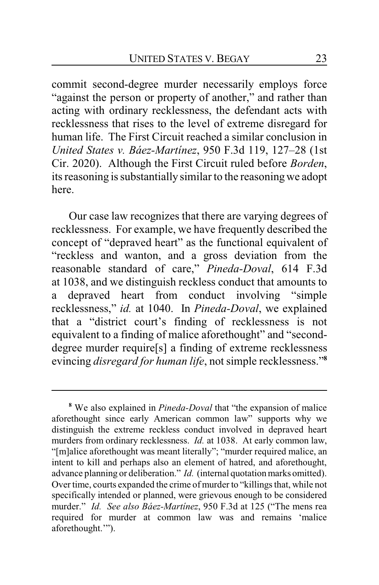commit second-degree murder necessarily employs force "against the person or property of another," and rather than acting with ordinary recklessness, the defendant acts with recklessness that rises to the level of extreme disregard for human life. The First Circuit reached a similar conclusion in *United States v. Báez-Martínez*, 950 F.3d 119, 127–28 (1st Cir. 2020). Although the First Circuit ruled before *Borden*, its reasoning is substantially similar to the reasoningwe adopt here.

Our case law recognizes that there are varying degrees of recklessness. For example, we have frequently described the concept of "depraved heart" as the functional equivalent of "reckless and wanton, and a gross deviation from the reasonable standard of care," *Pineda-Doval*, 614 F.3d at 1038, and we distinguish reckless conduct that amounts to a depraved heart from conduct involving "simple recklessness," *id.* at 1040. In *Pineda-Doval*, we explained that a "district court's finding of recklessness is not equivalent to a finding of malice aforethought" and "seconddegree murder require[s] a finding of extreme recklessness evincing *disregard for human life*, not simple recklessness."**<sup>8</sup>**

**<sup>8</sup>** We also explained in *Pineda-Doval* that "the expansion of malice aforethought since early American common law" supports why we distinguish the extreme reckless conduct involved in depraved heart murders from ordinary recklessness. *Id.* at 1038. At early common law, "[m]alice aforethought was meant literally"; "murder required malice, an intent to kill and perhaps also an element of hatred, and aforethought, advance planning or deliberation." *Id.* (internal quotation marks omitted). Over time, courts expanded the crime of murder to "killings that, while not specifically intended or planned, were grievous enough to be considered murder." *Id. See also Báez-Martínez*, 950 F.3d at 125 ("The mens rea required for murder at common law was and remains 'malice aforethought.'").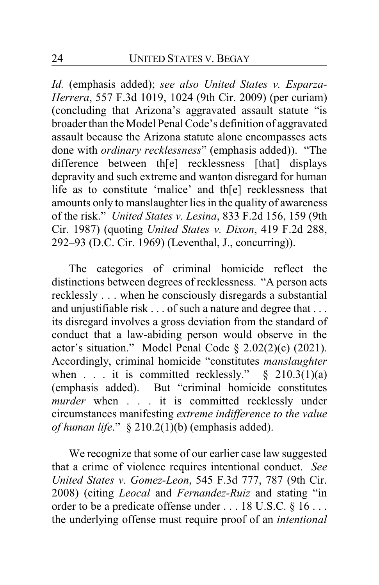*Id.* (emphasis added); *see also United States v. Esparza-Herrera*, 557 F.3d 1019, 1024 (9th Cir. 2009) (per curiam) (concluding that Arizona's aggravated assault statute "is broader than the Model Penal Code's definition of aggravated assault because the Arizona statute alone encompasses acts done with *ordinary recklessness*" (emphasis added)). "The difference between th[e] recklessness [that] displays depravity and such extreme and wanton disregard for human life as to constitute 'malice' and th[e] recklessness that amounts only to manslaughter lies in the quality of awareness of the risk." *United States v. Lesina*, 833 F.2d 156, 159 (9th Cir. 1987) (quoting *United States v. Dixon*, 419 F.2d 288, 292–93 (D.C. Cir. 1969) (Leventhal, J., concurring)).

The categories of criminal homicide reflect the distinctions between degrees of recklessness. "A person acts recklessly . . . when he consciously disregards a substantial and unjustifiable risk . . . of such a nature and degree that . . . its disregard involves a gross deviation from the standard of conduct that a law-abiding person would observe in the actor's situation." Model Penal Code § 2.02(2)(c) (2021). Accordingly, criminal homicide "constitutes *manslaughter* when . . . it is committed recklessly."  $§$  210.3(1)(a) (emphasis added). But "criminal homicide constitutes *murder* when . . . it is committed recklessly under circumstances manifesting *extreme indifference to the value of human life*." § 210.2(1)(b) (emphasis added).

We recognize that some of our earlier case law suggested that a crime of violence requires intentional conduct. *See United States v. Gomez-Leon*, 545 F.3d 777, 787 (9th Cir. 2008) (citing *Leocal* and *Fernandez-Ruiz* and stating "in order to be a predicate offense under . . . 18 U.S.C. § 16 . . . the underlying offense must require proof of an *intentional*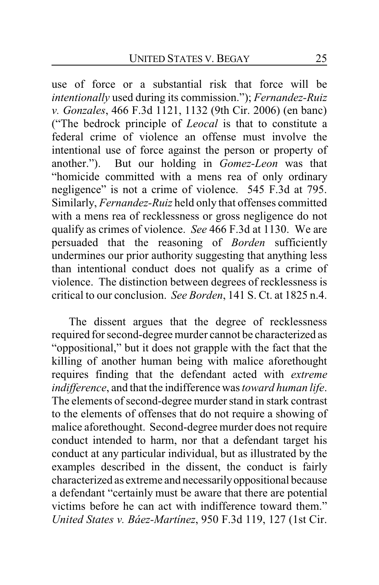use of force or a substantial risk that force will be *intentionally* used during its commission."); *Fernandez-Ruiz v. Gonzales*, 466 F.3d 1121, 1132 (9th Cir. 2006) (en banc) ("The bedrock principle of *Leocal* is that to constitute a federal crime of violence an offense must involve the intentional use of force against the person or property of another."). But our holding in *Gomez-Leon* was that "homicide committed with a mens rea of only ordinary negligence" is not a crime of violence. 545 F.3d at 795. Similarly, *Fernandez-Ruiz* held only that offenses committed with a mens rea of recklessness or gross negligence do not qualify as crimes of violence. *See* 466 F.3d at 1130. We are persuaded that the reasoning of *Borden* sufficiently undermines our prior authority suggesting that anything less than intentional conduct does not qualify as a crime of violence. The distinction between degrees of recklessness is critical to our conclusion. *See Borden*, 141 S. Ct. at 1825 n.4.

The dissent argues that the degree of recklessness required for second-degree murder cannot be characterized as "oppositional," but it does not grapple with the fact that the killing of another human being with malice aforethought requires finding that the defendant acted with *extreme indifference*, and that the indifference was *toward human life*. The elements of second-degree murder stand in stark contrast to the elements of offenses that do not require a showing of malice aforethought. Second-degree murder does not require conduct intended to harm, nor that a defendant target his conduct at any particular individual, but as illustrated by the examples described in the dissent, the conduct is fairly characterized as extreme and necessarilyoppositional because a defendant "certainly must be aware that there are potential victims before he can act with indifference toward them." *United States v. Báez-Martínez*, 950 F.3d 119, 127 (1st Cir.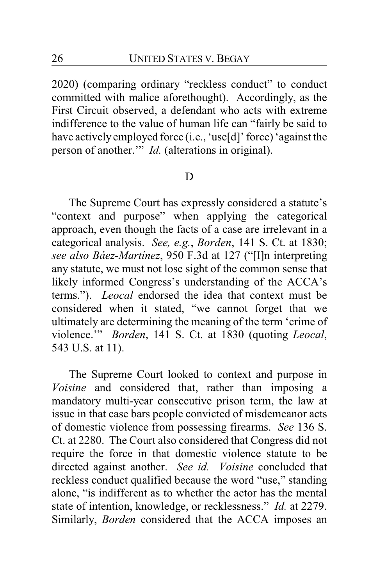2020) (comparing ordinary "reckless conduct" to conduct committed with malice aforethought). Accordingly, as the First Circuit observed, a defendant who acts with extreme indifference to the value of human life can "fairly be said to have actively employed force (i.e., 'use[d]' force) 'against the person of another.'" *Id.* (alterations in original).

## D

The Supreme Court has expressly considered a statute's "context and purpose" when applying the categorical approach, even though the facts of a case are irrelevant in a categorical analysis. *See, e.g.*, *Borden*, 141 S. Ct. at 1830; *see also Báez-Martínez*, 950 F.3d at 127 ("[I]n interpreting any statute, we must not lose sight of the common sense that likely informed Congress's understanding of the ACCA's terms."). *Leocal* endorsed the idea that context must be considered when it stated, "we cannot forget that we ultimately are determining the meaning of the term 'crime of violence.'" *Borden*, 141 S. Ct. at 1830 (quoting *Leocal*, 543 U.S. at 11).

The Supreme Court looked to context and purpose in *Voisine* and considered that, rather than imposing a mandatory multi-year consecutive prison term, the law at issue in that case bars people convicted of misdemeanor acts of domestic violence from possessing firearms. *See* 136 S. Ct. at 2280. The Court also considered that Congress did not require the force in that domestic violence statute to be directed against another. *See id. Voisine* concluded that reckless conduct qualified because the word "use," standing alone, "is indifferent as to whether the actor has the mental state of intention, knowledge, or recklessness." *Id.* at 2279. Similarly, *Borden* considered that the ACCA imposes an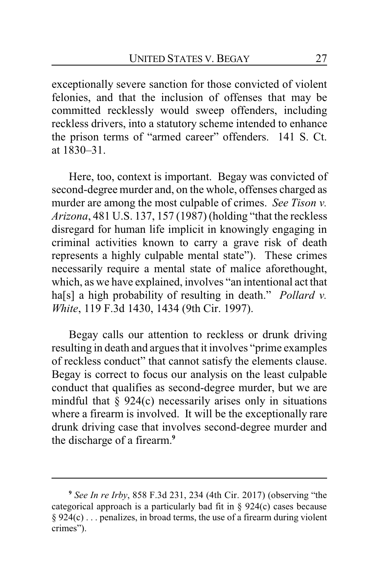exceptionally severe sanction for those convicted of violent felonies, and that the inclusion of offenses that may be committed recklessly would sweep offenders, including reckless drivers, into a statutory scheme intended to enhance the prison terms of "armed career" offenders. 141 S. Ct. at 1830–31.

Here, too, context is important. Begay was convicted of second-degree murder and, on the whole, offenses charged as murder are among the most culpable of crimes. *See Tison v. Arizona*, 481 U.S. 137, 157 (1987) (holding "that the reckless disregard for human life implicit in knowingly engaging in criminal activities known to carry a grave risk of death represents a highly culpable mental state"). These crimes necessarily require a mental state of malice aforethought, which, as we have explained, involves "an intentional act that ha[s] a high probability of resulting in death." *Pollard v. White*, 119 F.3d 1430, 1434 (9th Cir. 1997).

Begay calls our attention to reckless or drunk driving resulting in death and argues that it involves "prime examples of reckless conduct" that cannot satisfy the elements clause. Begay is correct to focus our analysis on the least culpable conduct that qualifies as second-degree murder, but we are mindful that  $\S$  924(c) necessarily arises only in situations where a firearm is involved. It will be the exceptionally rare drunk driving case that involves second-degree murder and the discharge of a firearm.**<sup>9</sup>**

**<sup>9</sup>** *See In re Irby*, 858 F.3d 231, 234 (4th Cir. 2017) (observing "the categorical approach is a particularly bad fit in § 924(c) cases because § 924(c) . . . penalizes, in broad terms, the use of a firearm during violent crimes").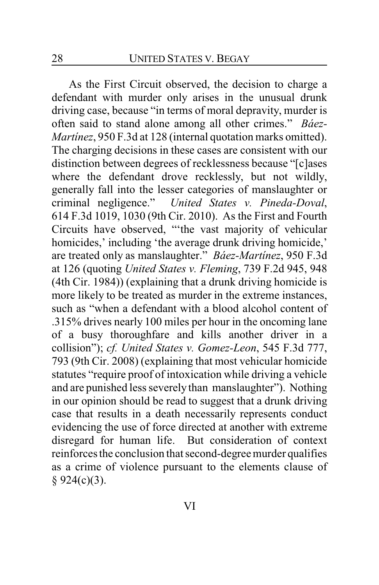As the First Circuit observed, the decision to charge a defendant with murder only arises in the unusual drunk driving case, because "in terms of moral depravity, murder is often said to stand alone among all other crimes." *Báez-Martínez*, 950 F.3d at 128 (internal quotation marks omitted). The charging decisions in these cases are consistent with our distinction between degrees of recklessness because "[c]ases where the defendant drove recklessly, but not wildly, generally fall into the lesser categories of manslaughter or criminal negligence." *United States v. Pineda-Doval*, 614 F.3d 1019, 1030 (9th Cir. 2010). As the First and Fourth Circuits have observed, "'the vast majority of vehicular homicides,' including 'the average drunk driving homicide,' are treated only as manslaughter." *Báez-Martínez*, 950 F.3d at 126 (quoting *United States v. Fleming*, 739 F.2d 945, 948 (4th Cir. 1984)) (explaining that a drunk driving homicide is more likely to be treated as murder in the extreme instances, such as "when a defendant with a blood alcohol content of .315% drives nearly 100 miles per hour in the oncoming lane of a busy thoroughfare and kills another driver in a collision"); *cf. United States v. Gomez-Leon*, 545 F.3d 777, 793 (9th Cir. 2008) (explaining that most vehicular homicide statutes "require proof of intoxication while driving a vehicle and are punished less severely than manslaughter"). Nothing in our opinion should be read to suggest that a drunk driving case that results in a death necessarily represents conduct evidencing the use of force directed at another with extreme disregard for human life. But consideration of context reinforces the conclusion that second-degree murder qualifies as a crime of violence pursuant to the elements clause of  $§ 924(c)(3).$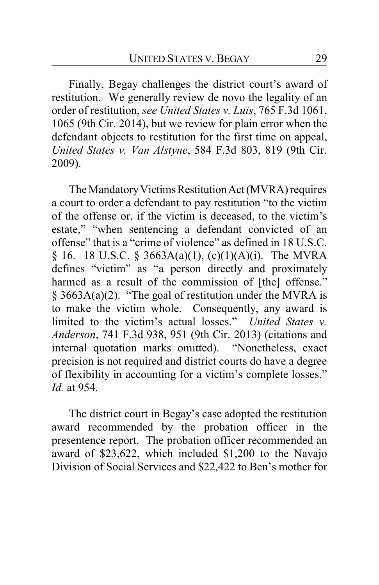Finally, Begay challenges the district court's award of restitution. We generally review de novo the legality of an order of restitution, *see United States v. Luis*, 765 F.3d 1061, 1065 (9th Cir. 2014), but we review for plain error when the defendant objects to restitution for the first time on appeal, *United States v. Van Alstyne*, 584 F.3d 803, 819 (9th Cir. 2009).

The Mandatory Victims Restitution Act (MVRA) requires a court to order a defendant to pay restitution "to the victim of the offense or, if the victim is deceased, to the victim's estate," "when sentencing a defendant convicted of an offense" that is a "crime of violence" as defined in 18 U.S.C. § 16. 18 U.S.C. § 3663A(a)(1), (c)(1)(A)(i). The MVRA defines "victim" as "a person directly and proximately harmed as a result of the commission of [the] offense." § 3663A(a)(2). "The goal of restitution under the MVRA is to make the victim whole. Consequently, any award is limited to the victim's actual losses." *United States v. Anderson*, 741 F.3d 938, 951 (9th Cir. 2013) (citations and internal quotation marks omitted). "Nonetheless, exact precision is not required and district courts do have a degree of flexibility in accounting for a victim's complete losses." *Id.* at 954.

The district court in Begay's case adopted the restitution award recommended by the probation officer in the presentence report. The probation officer recommended an award of \$23,622, which included \$1,200 to the Navajo Division of Social Services and \$22,422 to Ben's mother for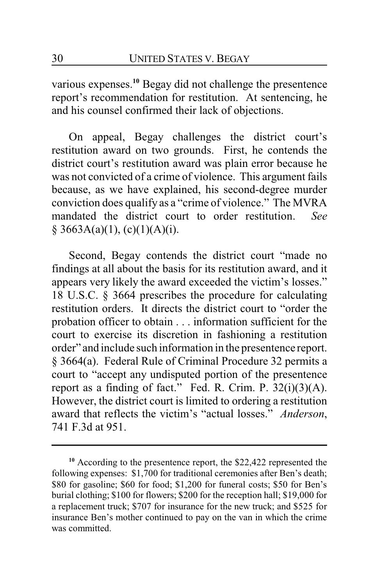various expenses.**<sup>10</sup>** Begay did not challenge the presentence report's recommendation for restitution. At sentencing, he and his counsel confirmed their lack of objections.

On appeal, Begay challenges the district court's restitution award on two grounds. First, he contends the district court's restitution award was plain error because he was not convicted of a crime of violence. This argument fails because, as we have explained, his second-degree murder conviction does qualify as a "crime of violence." The MVRA mandated the district court to order restitution. *See*  $§ 3663A(a)(1), (c)(1)(A)(i).$ 

Second, Begay contends the district court "made no findings at all about the basis for its restitution award, and it appears very likely the award exceeded the victim's losses." 18 U.S.C. § 3664 prescribes the procedure for calculating restitution orders. It directs the district court to "order the probation officer to obtain . . . information sufficient for the court to exercise its discretion in fashioning a restitution order" and include such information in the presentence report. § 3664(a). Federal Rule of Criminal Procedure 32 permits a court to "accept any undisputed portion of the presentence report as a finding of fact." Fed. R. Crim. P.  $32(i)(3)(A)$ . However, the district court is limited to ordering a restitution award that reflects the victim's "actual losses." *Anderson*, 741 F.3d at 951.

**<sup>10</sup>** According to the presentence report, the \$22,422 represented the following expenses: \$1,700 for traditional ceremonies after Ben's death; \$80 for gasoline; \$60 for food; \$1,200 for funeral costs; \$50 for Ben's burial clothing; \$100 for flowers; \$200 for the reception hall; \$19,000 for a replacement truck; \$707 for insurance for the new truck; and \$525 for insurance Ben's mother continued to pay on the van in which the crime was committed.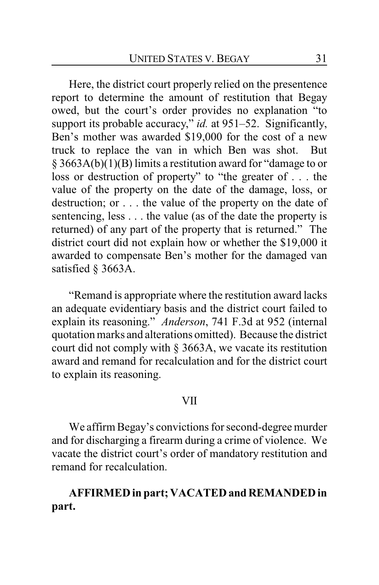Here, the district court properly relied on the presentence report to determine the amount of restitution that Begay owed, but the court's order provides no explanation "to support its probable accuracy," *id.* at 951–52. Significantly, Ben's mother was awarded \$19,000 for the cost of a new truck to replace the van in which Ben was shot. But § 3663A(b)(1)(B) limits a restitution award for "damage to or loss or destruction of property" to "the greater of . . . the value of the property on the date of the damage, loss, or destruction; or . . . the value of the property on the date of sentencing, less . . . the value (as of the date the property is returned) of any part of the property that is returned." The district court did not explain how or whether the \$19,000 it awarded to compensate Ben's mother for the damaged van satisfied § 3663A.

"Remand is appropriate where the restitution award lacks an adequate evidentiary basis and the district court failed to explain its reasoning." *Anderson*, 741 F.3d at 952 (internal quotation marks and alterations omitted). Because the district court did not comply with § 3663A, we vacate its restitution award and remand for recalculation and for the district court to explain its reasoning.

#### VII

We affirm Begay's convictions for second-degree murder and for discharging a firearm during a crime of violence. We vacate the district court's order of mandatory restitution and remand for recalculation.

## **AFFIRMED in part; VACATED andREMANDED in part.**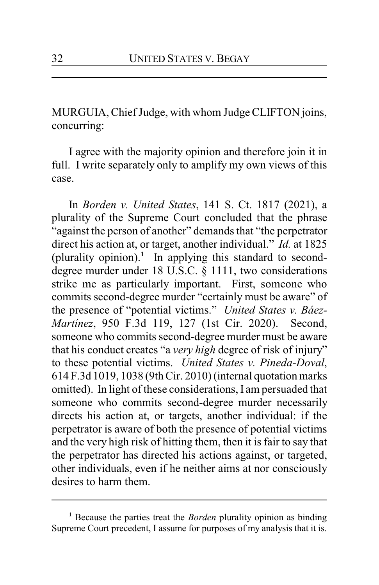MURGUIA, Chief Judge, with whom Judge CLIFTON joins, concurring:

I agree with the majority opinion and therefore join it in full. I write separately only to amplify my own views of this case.

In *Borden v. United States*, 141 S. Ct. 1817 (2021), a plurality of the Supreme Court concluded that the phrase "against the person of another" demands that "the perpetrator direct his action at, or target, another individual." *Id.* at 1825 (plurality opinion).**<sup>1</sup>** In applying this standard to seconddegree murder under 18 U.S.C. § 1111, two considerations strike me as particularly important. First, someone who commits second-degree murder "certainly must be aware" of the presence of "potential victims." *United States v. Báez-Martínez*, 950 F.3d 119, 127 (1st Cir. 2020). Second, someone who commits second-degree murder must be aware that his conduct creates "a *very high* degree of risk of injury" to these potential victims. *United States v. Pineda-Doval*, 614 F.3d 1019, 1038 (9th Cir. 2010) (internal quotation marks omitted). In light of these considerations, I am persuaded that someone who commits second-degree murder necessarily directs his action at, or targets, another individual: if the perpetrator is aware of both the presence of potential victims and the very high risk of hitting them, then it is fair to say that the perpetrator has directed his actions against, or targeted, other individuals, even if he neither aims at nor consciously desires to harm them.

**<sup>1</sup>** Because the parties treat the *Borden* plurality opinion as binding Supreme Court precedent, I assume for purposes of my analysis that it is.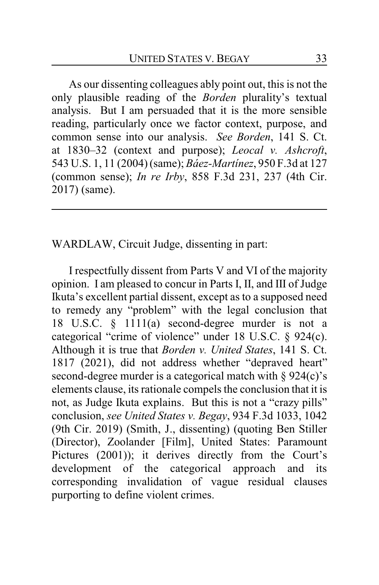As our dissenting colleagues ably point out, this is not the only plausible reading of the *Borden* plurality's textual analysis. But I am persuaded that it is the more sensible reading, particularly once we factor context, purpose, and common sense into our analysis. *See Borden*, 141 S. Ct. at 1830–32 (context and purpose); *Leocal v. Ashcroft*, 543 U.S. 1, 11 (2004) (same); *Báez-Martínez*, 950 F.3d at 127 (common sense); *In re Irby*, 858 F.3d 231, 237 (4th Cir. 2017) (same).

WARDLAW, Circuit Judge, dissenting in part:

I respectfully dissent from Parts V and VI of the majority opinion. I am pleased to concur in Parts I, II, and III of Judge Ikuta's excellent partial dissent, except as to a supposed need to remedy any "problem" with the legal conclusion that 18 U.S.C. § 1111(a) second-degree murder is not a categorical "crime of violence" under 18 U.S.C. § 924(c). Although it is true that *Borden v. United States*, 141 S. Ct. 1817 (2021), did not address whether "depraved heart" second-degree murder is a categorical match with  $\S 924(c)$ 's elements clause, its rationale compels the conclusion that it is not, as Judge Ikuta explains. But this is not a "crazy pills" conclusion, *see United States v. Begay*, 934 F.3d 1033, 1042 (9th Cir. 2019) (Smith, J., dissenting) (quoting Ben Stiller (Director), Zoolander [Film], United States: Paramount Pictures (2001)); it derives directly from the Court's development of the categorical approach and its corresponding invalidation of vague residual clauses purporting to define violent crimes.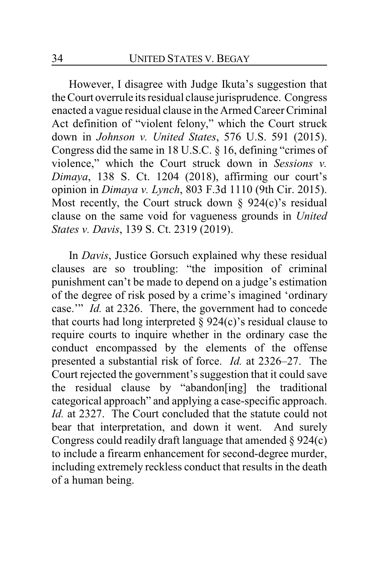However, I disagree with Judge Ikuta's suggestion that the Court overrule its residual clause jurisprudence. Congress enacted a vague residual clause in the Armed Career Criminal Act definition of "violent felony," which the Court struck down in *Johnson v. United States*, 576 U.S. 591 (2015). Congress did the same in 18 U.S.C. § 16, defining "crimes of violence," which the Court struck down in *Sessions v. Dimaya*, 138 S. Ct. 1204 (2018), affirming our court's opinion in *Dimaya v. Lynch*, 803 F.3d 1110 (9th Cir. 2015). Most recently, the Court struck down  $\S$  924(c)'s residual clause on the same void for vagueness grounds in *United States v. Davis*, 139 S. Ct. 2319 (2019).

In *Davis*, Justice Gorsuch explained why these residual clauses are so troubling: "the imposition of criminal punishment can't be made to depend on a judge's estimation of the degree of risk posed by a crime's imagined 'ordinary case.'" *Id.* at 2326. There, the government had to concede that courts had long interpreted  $\S$  924(c)'s residual clause to require courts to inquire whether in the ordinary case the conduct encompassed by the elements of the offense presented a substantial risk of force. *Id.* at 2326–27. The Court rejected the government's suggestion that it could save the residual clause by "abandon[ing] the traditional categorical approach" and applying a case-specific approach. *Id.* at 2327. The Court concluded that the statute could not bear that interpretation, and down it went. And surely Congress could readily draft language that amended  $\S 924(c)$ to include a firearm enhancement for second-degree murder, including extremely reckless conduct that results in the death of a human being.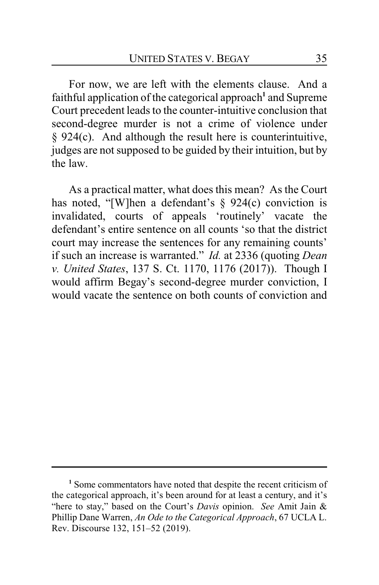For now, we are left with the elements clause. And a faithful application of the categorical approach<sup>1</sup> and Supreme Court precedent leads to the counter-intuitive conclusion that second-degree murder is not a crime of violence under § 924(c). And although the result here is counterintuitive, judges are not supposed to be guided by their intuition, but by the law.

As a practical matter, what does this mean? As the Court has noted, "[W]hen a defendant's § 924(c) conviction is invalidated, courts of appeals 'routinely' vacate the defendant's entire sentence on all counts 'so that the district court may increase the sentences for any remaining counts' if such an increase is warranted." *Id.* at 2336 (quoting *Dean v. United States*, 137 S. Ct. 1170, 1176 (2017)). Though I would affirm Begay's second-degree murder conviction, I would vacate the sentence on both counts of conviction and

**<sup>1</sup>** Some commentators have noted that despite the recent criticism of the categorical approach, it's been around for at least a century, and it's "here to stay," based on the Court's *Davis* opinion. *See* Amit Jain & Phillip Dane Warren, *An Ode to the Categorical Approach*, 67 UCLA L. Rev. Discourse 132, 151–52 (2019).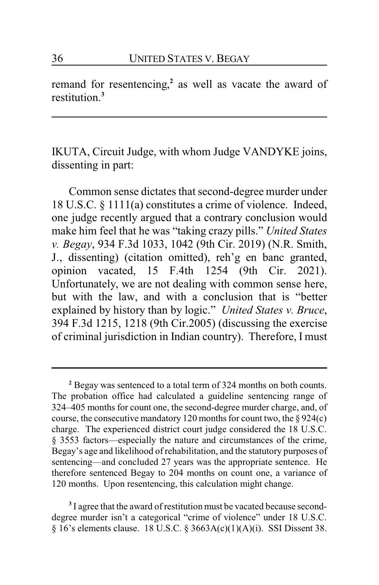remand for resentencing, **2** as well as vacate the award of restitution.**<sup>3</sup>**

IKUTA, Circuit Judge, with whom Judge VANDYKE joins, dissenting in part:

Common sense dictates that second-degree murder under 18 U.S.C. § 1111(a) constitutes a crime of violence. Indeed, one judge recently argued that a contrary conclusion would make him feel that he was "taking crazy pills." *United States v. Begay*, 934 F.3d 1033, 1042 (9th Cir. 2019) (N.R. Smith, J., dissenting) (citation omitted), reh'g en banc granted, opinion vacated, 15 F.4th 1254 (9th Cir. 2021). Unfortunately, we are not dealing with common sense here, but with the law, and with a conclusion that is "better explained by history than by logic." *United States v. Bruce*, 394 F.3d 1215, 1218 (9th Cir.2005) (discussing the exercise of criminal jurisdiction in Indian country). Therefore, I must

<sup>3</sup> I agree that the award of restitution must be vacated because seconddegree murder isn't a categorical "crime of violence" under 18 U.S.C. § 16's elements clause. 18 U.S.C. § 3663A(c)(1)(A)(i). SSI Dissent 38.

**<sup>2</sup>** Begay was sentenced to a total term of 324 months on both counts. The probation office had calculated a guideline sentencing range of 324–405 months for count one, the second-degree murder charge, and, of course, the consecutive mandatory 120 months for count two, the  $\S 924(c)$ charge. The experienced district court judge considered the 18 U.S.C. § 3553 factors—especially the nature and circumstances of the crime, Begay's age and likelihood of rehabilitation, and the statutory purposes of sentencing—and concluded 27 years was the appropriate sentence. He therefore sentenced Begay to 204 months on count one, a variance of 120 months. Upon resentencing, this calculation might change.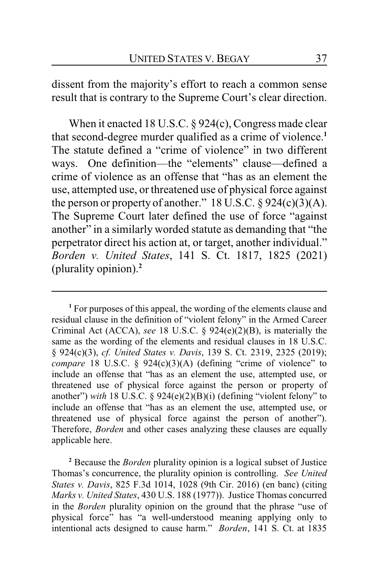dissent from the majority's effort to reach a common sense result that is contrary to the Supreme Court's clear direction.

When it enacted 18 U.S.C. § 924(c), Congress made clear that second-degree murder qualified as a crime of violence.**<sup>1</sup>** The statute defined a "crime of violence" in two different ways. One definition—the "elements" clause—defined a crime of violence as an offense that "has as an element the use, attempted use, or threatened use of physical force against the person or property of another."  $18$  U.S.C.  $\S$  924(c)(3)(A). The Supreme Court later defined the use of force "against another" in a similarly worded statute as demanding that "the perpetrator direct his action at, or target, another individual." *Borden v. United States*, 141 S. Ct. 1817, 1825 (2021) (plurality opinion).**<sup>2</sup>**

**<sup>1</sup>** For purposes of this appeal, the wording of the elements clause and residual clause in the definition of "violent felony" in the Armed Career Criminal Act (ACCA), *see* 18 U.S.C. § 924(e)(2)(B), is materially the same as the wording of the elements and residual clauses in 18 U.S.C. § 924(c)(3), *cf. United States v. Davis*, 139 S. Ct. 2319, 2325 (2019); *compare* 18 U.S.C. § 924(c)(3)(A) (defining "crime of violence" to include an offense that "has as an element the use, attempted use, or threatened use of physical force against the person or property of another") *with* 18 U.S.C. § 924(e)(2)(B)(i) (defining "violent felony" to include an offense that "has as an element the use, attempted use, or threatened use of physical force against the person of another"). Therefore, *Borden* and other cases analyzing these clauses are equally applicable here.

**<sup>2</sup>** Because the *Borden* plurality opinion is a logical subset of Justice Thomas's concurrence, the plurality opinion is controlling. *See United States v. Davis*, 825 F.3d 1014, 1028 (9th Cir. 2016) (en banc) (citing *Marks v. United States*, 430 U.S. 188 (1977)). Justice Thomas concurred in the *Borden* plurality opinion on the ground that the phrase "use of physical force" has "a well-understood meaning applying only to intentional acts designed to cause harm." *Borden*, 141 S. Ct. at 1835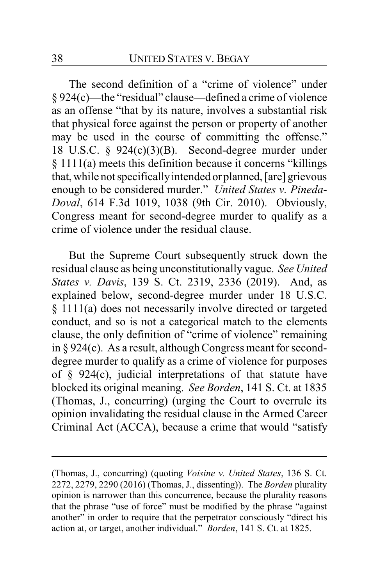The second definition of a "crime of violence" under § 924(c)—the "residual" clause—defined a crime of violence as an offense "that by its nature, involves a substantial risk that physical force against the person or property of another may be used in the course of committing the offense." 18 U.S.C. § 924(c)(3)(B). Second-degree murder under § 1111(a) meets this definition because it concerns "killings that, while not specificallyintended or planned, [are] grievous enough to be considered murder." *United States v. Pineda-Doval*, 614 F.3d 1019, 1038 (9th Cir. 2010). Obviously, Congress meant for second-degree murder to qualify as a crime of violence under the residual clause.

But the Supreme Court subsequently struck down the residual clause as being unconstitutionally vague. *See United States v. Davis*, 139 S. Ct. 2319, 2336 (2019). And, as explained below, second-degree murder under 18 U.S.C. § 1111(a) does not necessarily involve directed or targeted conduct, and so is not a categorical match to the elements clause, the only definition of "crime of violence" remaining in  $\S 924(c)$ . As a result, although Congress meant for seconddegree murder to qualify as a crime of violence for purposes of § 924(c), judicial interpretations of that statute have blocked its original meaning. *See Borden*, 141 S. Ct. at 1835 (Thomas, J., concurring) (urging the Court to overrule its opinion invalidating the residual clause in the Armed Career Criminal Act (ACCA), because a crime that would "satisfy

<sup>(</sup>Thomas, J., concurring) (quoting *Voisine v. United States*, 136 S. Ct. 2272, 2279, 2290 (2016) (Thomas, J., dissenting)). The *Borden* plurality opinion is narrower than this concurrence, because the plurality reasons that the phrase "use of force" must be modified by the phrase "against another" in order to require that the perpetrator consciously "direct his action at, or target, another individual." *Borden*, 141 S. Ct. at 1825.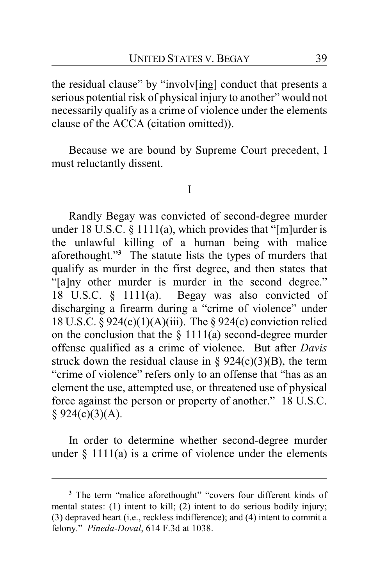the residual clause" by "involv[ing] conduct that presents a serious potential risk of physical injury to another" would not necessarily qualify as a crime of violence under the elements clause of the ACCA (citation omitted)).

Because we are bound by Supreme Court precedent, I must reluctantly dissent.

I

Randly Begay was convicted of second-degree murder under 18 U.S.C. § 1111(a), which provides that "[m]urder is the unlawful killing of a human being with malice aforethought."**<sup>3</sup>** The statute lists the types of murders that qualify as murder in the first degree, and then states that "[a]ny other murder is murder in the second degree." 18 U.S.C. § 1111(a). Begay was also convicted of discharging a firearm during a "crime of violence" under 18 U.S.C. § 924(c)(1)(A)(iii). The § 924(c) conviction relied on the conclusion that the  $\S 1111(a)$  second-degree murder offense qualified as a crime of violence. But after *Davis* struck down the residual clause in  $\S 924(c)(3)(B)$ , the term "crime of violence" refers only to an offense that "has as an element the use, attempted use, or threatened use of physical force against the person or property of another." 18 U.S.C.  $§ 924(c)(3)(A).$ 

In order to determine whether second-degree murder under  $\S$  1111(a) is a crime of violence under the elements

**<sup>3</sup>** The term "malice aforethought" "covers four different kinds of mental states: (1) intent to kill; (2) intent to do serious bodily injury; (3) depraved heart (i.e., reckless indifference); and (4) intent to commit a felony." *Pineda-Doval*, 614 F.3d at 1038.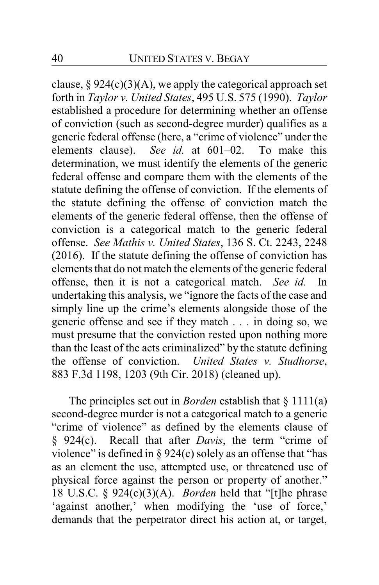clause,  $\S 924(c)(3)(A)$ , we apply the categorical approach set forth in *Taylor v. United States*, 495 U.S. 575 (1990). *Taylor* established a procedure for determining whether an offense of conviction (such as second-degree murder) qualifies as a generic federal offense (here, a "crime of violence" under the elements clause). *See id.* at 601–02. To make this determination, we must identify the elements of the generic federal offense and compare them with the elements of the statute defining the offense of conviction. If the elements of the statute defining the offense of conviction match the elements of the generic federal offense, then the offense of conviction is a categorical match to the generic federal offense. *See Mathis v. United States*, 136 S. Ct. 2243, 2248 (2016). If the statute defining the offense of conviction has elements that do not match the elements of the generic federal offense, then it is not a categorical match. *See id.* In undertaking this analysis, we "ignore the facts of the case and simply line up the crime's elements alongside those of the generic offense and see if they match . . . in doing so, we must presume that the conviction rested upon nothing more than the least of the acts criminalized" by the statute defining the offense of conviction. *United States v. Studhorse*, 883 F.3d 1198, 1203 (9th Cir. 2018) (cleaned up).

The principles set out in *Borden* establish that § 1111(a) second-degree murder is not a categorical match to a generic "crime of violence" as defined by the elements clause of § 924(c). Recall that after *Davis*, the term "crime of violence" is defined in  $\S 924(c)$  solely as an offense that "has as an element the use, attempted use, or threatened use of physical force against the person or property of another." 18 U.S.C. § 924(c)(3)(A). *Borden* held that "[t]he phrase 'against another,' when modifying the 'use of force,' demands that the perpetrator direct his action at, or target,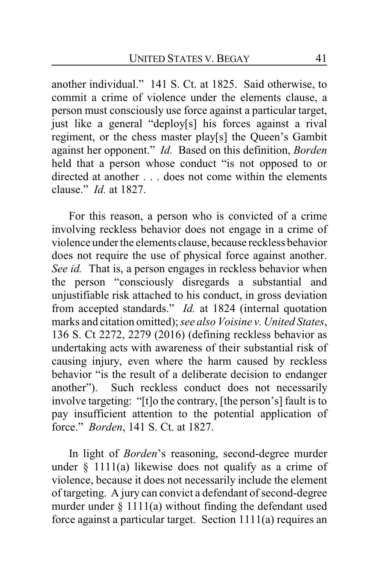another individual." 141 S. Ct. at 1825. Said otherwise, to commit a crime of violence under the elements clause, a person must consciously use force against a particular target, just like a general "deploy[s] his forces against a rival regiment, or the chess master play[s] the Queen's Gambit against her opponent." *Id.* Based on this definition, *Borden* held that a person whose conduct "is not opposed to or directed at another . . . does not come within the elements clause." *Id.* at 1827.

For this reason, a person who is convicted of a crime involving reckless behavior does not engage in a crime of violence under the elements clause, because reckless behavior does not require the use of physical force against another. *See id.* That is, a person engages in reckless behavior when the person "consciously disregards a substantial and unjustifiable risk attached to his conduct, in gross deviation from accepted standards." *Id.* at 1824 (internal quotation marks and citation omitted); *see also Voisine v. United States*, 136 S. Ct 2272, 2279 (2016) (defining reckless behavior as undertaking acts with awareness of their substantial risk of causing injury, even where the harm caused by reckless behavior "is the result of a deliberate decision to endanger another"). Such reckless conduct does not necessarily involve targeting: "[t]o the contrary, [the person's] fault is to pay insufficient attention to the potential application of force." *Borden*, 141 S. Ct. at 1827.

In light of *Borden*'s reasoning, second-degree murder under  $\S$  1111(a) likewise does not qualify as a crime of violence, because it does not necessarily include the element of targeting. A jury can convict a defendant of second-degree murder under  $\S 1111(a)$  without finding the defendant used force against a particular target. Section 1111(a) requires an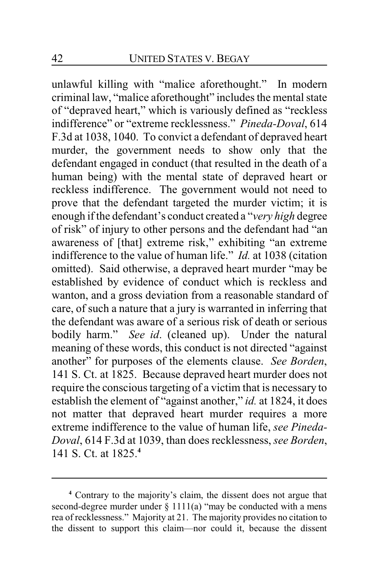unlawful killing with "malice aforethought." In modern criminal law, "malice aforethought" includes the mental state of "depraved heart," which is variously defined as "reckless indifference" or "extreme recklessness." *Pineda-Doval*, 614 F.3d at 1038, 1040. To convict a defendant of depraved heart murder, the government needs to show only that the defendant engaged in conduct (that resulted in the death of a human being) with the mental state of depraved heart or reckless indifference. The government would not need to prove that the defendant targeted the murder victim; it is enough if the defendant's conduct created a "*very high* degree of risk" of injury to other persons and the defendant had "an awareness of [that] extreme risk," exhibiting "an extreme indifference to the value of human life." *Id.* at 1038 (citation omitted). Said otherwise, a depraved heart murder "may be established by evidence of conduct which is reckless and wanton, and a gross deviation from a reasonable standard of care, of such a nature that a jury is warranted in inferring that the defendant was aware of a serious risk of death or serious bodily harm." *See id*. (cleaned up). Under the natural meaning of these words, this conduct is not directed "against another" for purposes of the elements clause. *See Borden*, 141 S. Ct. at 1825. Because depraved heart murder does not require the conscious targeting of a victim that is necessary to establish the element of "against another," *id.* at 1824, it does not matter that depraved heart murder requires a more extreme indifference to the value of human life, *see Pineda-Doval*, 614 F.3d at 1039, than does recklessness, *see Borden*, 141 S. Ct. at 1825.**<sup>4</sup>**

**<sup>4</sup>** Contrary to the majority's claim, the dissent does not argue that second-degree murder under  $\S$  1111(a) "may be conducted with a mens rea of recklessness." Majority at 21. The majority provides no citation to the dissent to support this claim—nor could it, because the dissent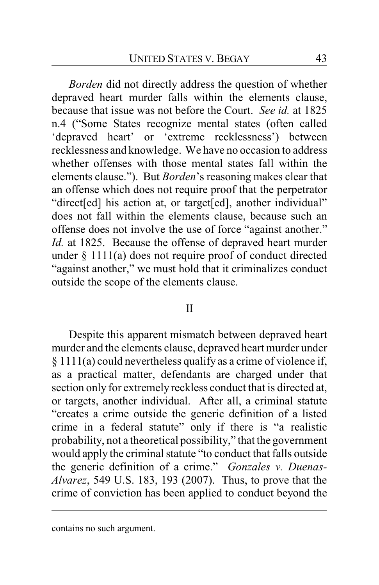*Borden* did not directly address the question of whether depraved heart murder falls within the elements clause, because that issue was not before the Court. *See id.* at 1825 n.4 ("Some States recognize mental states (often called 'depraved heart' or 'extreme recklessness') between recklessness and knowledge. We have no occasion to address whether offenses with those mental states fall within the elements clause."). But *Borden*'s reasoning makes clear that an offense which does not require proof that the perpetrator "direct[ed] his action at, or target[ed], another individual" does not fall within the elements clause, because such an offense does not involve the use of force "against another." *Id.* at 1825. Because the offense of depraved heart murder under § 1111(a) does not require proof of conduct directed "against another," we must hold that it criminalizes conduct outside the scope of the elements clause.

#### II

Despite this apparent mismatch between depraved heart murder and the elements clause, depraved heart murder under § 1111(a) could nevertheless qualify as a crime of violence if, as a practical matter, defendants are charged under that section only for extremely reckless conduct that is directed at, or targets, another individual. After all, a criminal statute "creates a crime outside the generic definition of a listed crime in a federal statute" only if there is "a realistic probability, not a theoretical possibility," that the government would apply the criminal statute "to conduct that falls outside the generic definition of a crime." *Gonzales v. Duenas-Alvarez*, 549 U.S. 183, 193 (2007). Thus, to prove that the crime of conviction has been applied to conduct beyond the

contains no such argument.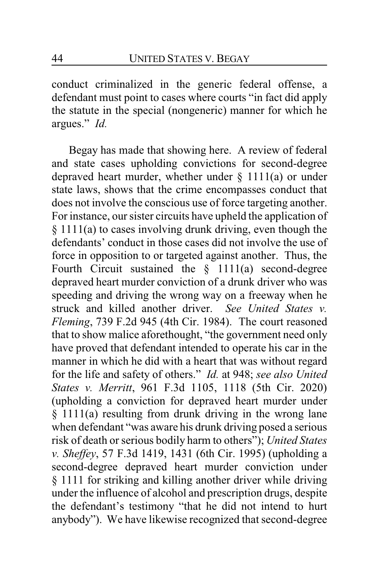conduct criminalized in the generic federal offense, a defendant must point to cases where courts "in fact did apply the statute in the special (nongeneric) manner for which he argues." *Id.*

Begay has made that showing here. A review of federal and state cases upholding convictions for second-degree depraved heart murder, whether under  $\S$  1111(a) or under state laws, shows that the crime encompasses conduct that does not involve the conscious use of force targeting another. For instance, our sister circuits have upheld the application of § 1111(a) to cases involving drunk driving, even though the defendants' conduct in those cases did not involve the use of force in opposition to or targeted against another. Thus, the Fourth Circuit sustained the  $§$  1111(a) second-degree depraved heart murder conviction of a drunk driver who was speeding and driving the wrong way on a freeway when he struck and killed another driver. *See United States v. Fleming*, 739 F.2d 945 (4th Cir. 1984). The court reasoned that to show malice aforethought, "the government need only have proved that defendant intended to operate his car in the manner in which he did with a heart that was without regard for the life and safety of others." *Id.* at 948; *see also United States v. Merritt*, 961 F.3d 1105, 1118 (5th Cir. 2020) (upholding a conviction for depraved heart murder under § 1111(a) resulting from drunk driving in the wrong lane when defendant "was aware his drunk driving posed a serious risk of death or serious bodily harm to others"); *United States v. Sheffey*, 57 F.3d 1419, 1431 (6th Cir. 1995) (upholding a second-degree depraved heart murder conviction under § 1111 for striking and killing another driver while driving under the influence of alcohol and prescription drugs, despite the defendant's testimony "that he did not intend to hurt anybody"). We have likewise recognized that second-degree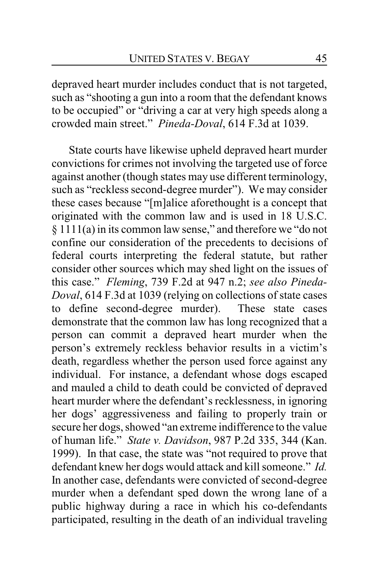depraved heart murder includes conduct that is not targeted, such as "shooting a gun into a room that the defendant knows to be occupied" or "driving a car at very high speeds along a crowded main street." *Pineda-Doval*, 614 F.3d at 1039.

State courts have likewise upheld depraved heart murder convictions for crimes not involving the targeted use of force against another (though states may use different terminology, such as "reckless second-degree murder"). We may consider these cases because "[m]alice aforethought is a concept that originated with the common law and is used in 18 U.S.C. § 1111(a) in its common law sense," and therefore we "do not confine our consideration of the precedents to decisions of federal courts interpreting the federal statute, but rather consider other sources which may shed light on the issues of this case." *Fleming*, 739 F.2d at 947 n.2; *see also Pineda-Doval*, 614 F.3d at 1039 (relying on collections of state cases to define second-degree murder). These state cases demonstrate that the common law has long recognized that a person can commit a depraved heart murder when the person's extremely reckless behavior results in a victim's death, regardless whether the person used force against any individual. For instance, a defendant whose dogs escaped and mauled a child to death could be convicted of depraved heart murder where the defendant's recklessness, in ignoring her dogs' aggressiveness and failing to properly train or secure her dogs, showed "an extreme indifference to the value of human life." *State v. Davidson*, 987 P.2d 335, 344 (Kan. 1999). In that case, the state was "not required to prove that defendant knew her dogs would attack and kill someone." *Id.*  In another case, defendants were convicted of second-degree murder when a defendant sped down the wrong lane of a public highway during a race in which his co-defendants participated, resulting in the death of an individual traveling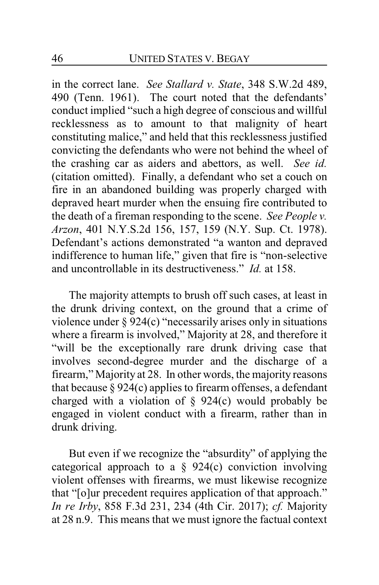in the correct lane. *See Stallard v. State*, 348 S.W.2d 489, 490 (Tenn. 1961). The court noted that the defendants' conduct implied "such a high degree of conscious and willful recklessness as to amount to that malignity of heart constituting malice," and held that this recklessness justified convicting the defendants who were not behind the wheel of the crashing car as aiders and abettors, as well. *See id.* (citation omitted). Finally, a defendant who set a couch on fire in an abandoned building was properly charged with depraved heart murder when the ensuing fire contributed to the death of a fireman responding to the scene. *See People v. Arzon*, 401 N.Y.S.2d 156, 157, 159 (N.Y. Sup. Ct. 1978). Defendant's actions demonstrated "a wanton and depraved indifference to human life," given that fire is "non-selective and uncontrollable in its destructiveness." *Id.* at 158.

The majority attempts to brush off such cases, at least in the drunk driving context, on the ground that a crime of violence under § 924(c) "necessarily arises only in situations where a firearm is involved," Majority at 28, and therefore it "will be the exceptionally rare drunk driving case that involves second-degree murder and the discharge of a firearm," Majority at 28. In other words, the majority reasons that because § 924(c) applies to firearm offenses, a defendant charged with a violation of  $\S$  924(c) would probably be engaged in violent conduct with a firearm, rather than in drunk driving.

But even if we recognize the "absurdity" of applying the categorical approach to a  $\S$  924(c) conviction involving violent offenses with firearms, we must likewise recognize that "[o]ur precedent requires application of that approach." *In re Irby*, 858 F.3d 231, 234 (4th Cir. 2017); *cf.* Majority at 28 n.9. This means that we must ignore the factual context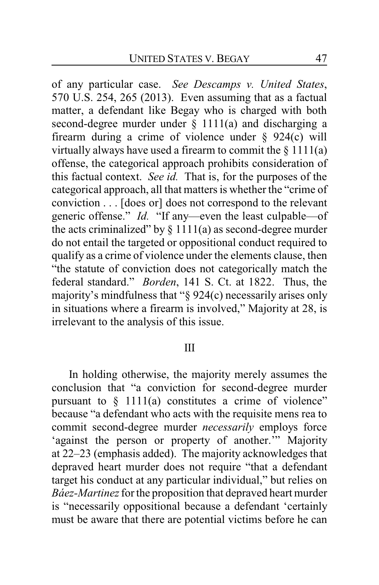of any particular case. *See Descamps v. United States*, 570 U.S. 254, 265 (2013). Even assuming that as a factual matter, a defendant like Begay who is charged with both second-degree murder under  $\S$  1111(a) and discharging a firearm during a crime of violence under  $\S$  924(c) will virtually always have used a firearm to commit the  $\S 1111(a)$ offense, the categorical approach prohibits consideration of this factual context. *See id.* That is, for the purposes of the categorical approach, all that matters is whether the "crime of conviction . . . [does or] does not correspond to the relevant generic offense." *Id.* "If any—even the least culpable—of the acts criminalized" by  $\S 1111(a)$  as second-degree murder do not entail the targeted or oppositional conduct required to qualify as a crime of violence under the elements clause, then "the statute of conviction does not categorically match the federal standard." *Borden*, 141 S. Ct. at 1822. Thus, the majority's mindfulness that "§ 924(c) necessarily arises only in situations where a firearm is involved," Majority at 28, is irrelevant to the analysis of this issue.

#### III

In holding otherwise, the majority merely assumes the conclusion that "a conviction for second-degree murder pursuant to  $\S$  1111(a) constitutes a crime of violence" because "a defendant who acts with the requisite mens rea to commit second-degree murder *necessarily* employs force 'against the person or property of another.'" Majority at 22–23 (emphasis added). The majority acknowledges that depraved heart murder does not require "that a defendant target his conduct at any particular individual," but relies on *Báez-Martinez* for the proposition that depraved heart murder is "necessarily oppositional because a defendant 'certainly must be aware that there are potential victims before he can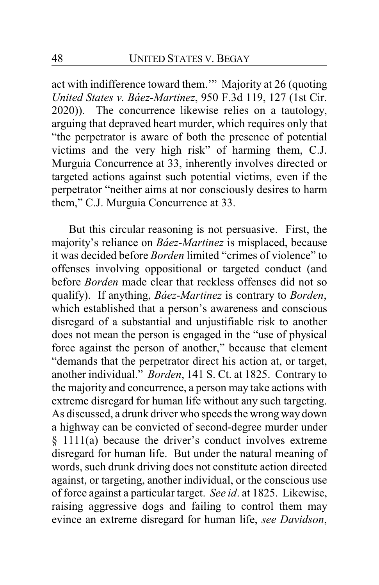act with indifference toward them.'" Majority at 26 (quoting *United States v. Báez-Martinez*, 950 F.3d 119, 127 (1st Cir. 2020)). The concurrence likewise relies on a tautology, arguing that depraved heart murder, which requires only that "the perpetrator is aware of both the presence of potential victims and the very high risk" of harming them, C.J. Murguia Concurrence at 33, inherently involves directed or targeted actions against such potential victims, even if the perpetrator "neither aims at nor consciously desires to harm them," C.J. Murguia Concurrence at 33.

But this circular reasoning is not persuasive. First, the majority's reliance on *Báez-Martinez* is misplaced, because it was decided before *Borden* limited "crimes of violence" to offenses involving oppositional or targeted conduct (and before *Borden* made clear that reckless offenses did not so qualify). If anything, *Báez-Martinez* is contrary to *Borden*, which established that a person's awareness and conscious disregard of a substantial and unjustifiable risk to another does not mean the person is engaged in the "use of physical force against the person of another," because that element "demands that the perpetrator direct his action at, or target, another individual." *Borden*, 141 S. Ct. at 1825. Contrary to the majority and concurrence, a person may take actions with extreme disregard for human life without any such targeting. As discussed, a drunk driver who speeds the wrong way down a highway can be convicted of second-degree murder under § 1111(a) because the driver's conduct involves extreme disregard for human life. But under the natural meaning of words, such drunk driving does not constitute action directed against, or targeting, another individual, or the conscious use of force against a particular target. *See id*. at 1825. Likewise, raising aggressive dogs and failing to control them may evince an extreme disregard for human life, *see Davidson*,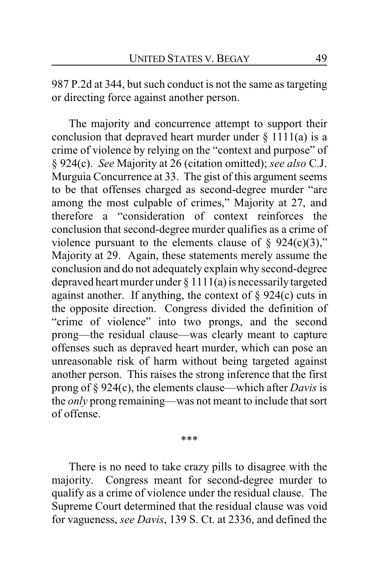987 P.2d at 344, but such conduct is not the same as targeting or directing force against another person.

The majority and concurrence attempt to support their conclusion that depraved heart murder under  $\S 1111(a)$  is a crime of violence by relying on the "context and purpose" of § 924(c). *See* Majority at 26 (citation omitted); *see also* C.J. Murguia Concurrence at 33. The gist of this argument seems to be that offenses charged as second-degree murder "are among the most culpable of crimes," Majority at 27, and therefore a "consideration of context reinforces the conclusion that second-degree murder qualifies as a crime of violence pursuant to the elements clause of  $\frac{1}{2}$  924(c)(3)," Majority at 29. Again, these statements merely assume the conclusion and do not adequately explain why second-degree depraved heart murder under  $\S 1111(a)$  is necessarily targeted against another. If anything, the context of  $\S$  924(c) cuts in the opposite direction. Congress divided the definition of "crime of violence" into two prongs, and the second prong—the residual clause—was clearly meant to capture offenses such as depraved heart murder, which can pose an unreasonable risk of harm without being targeted against another person. This raises the strong inference that the first prong of § 924(c), the elements clause—which after *Davis* is the *only* prong remaining—was not meant to include that sort of offense.

\*\*\*

There is no need to take crazy pills to disagree with the majority. Congress meant for second-degree murder to qualify as a crime of violence under the residual clause. The Supreme Court determined that the residual clause was void for vagueness, *see Davis*, 139 S. Ct. at 2336, and defined the